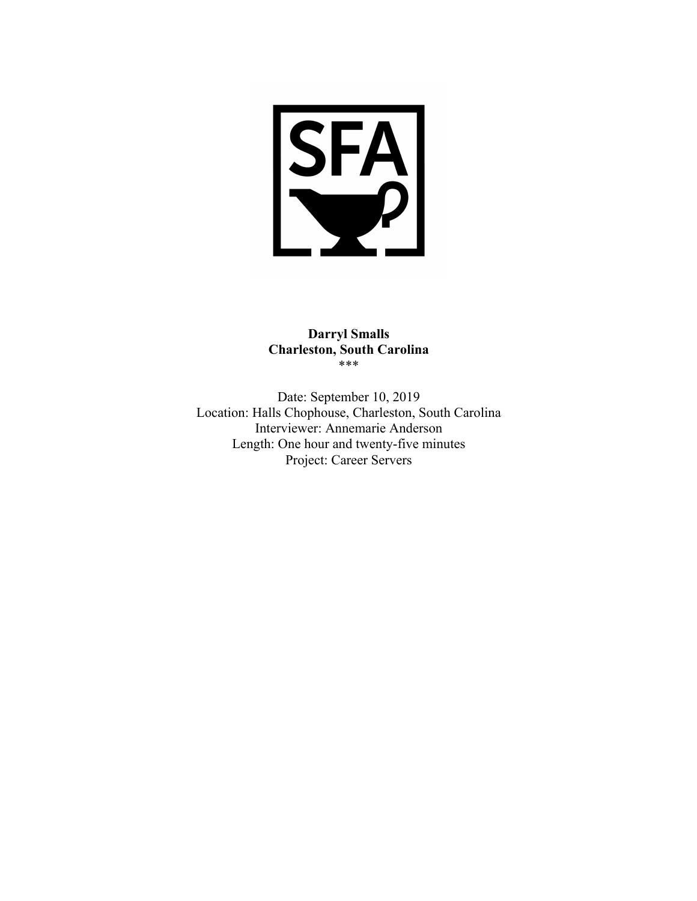

# **Darryl Smalls Charleston, South Carolina** \*\*\*

Date: September 10, 2019 Location: Halls Chophouse, Charleston, South Carolina Interviewer: Annemarie Anderson Length: One hour and twenty-five minutes Project: Career Servers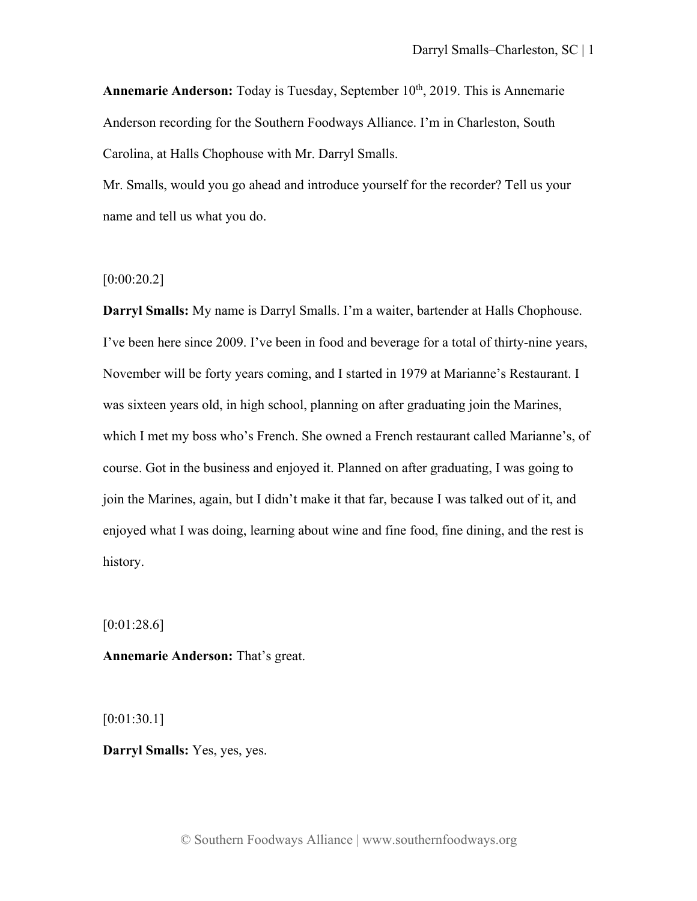**Annemarie Anderson:** Today is Tuesday, September 10<sup>th</sup>, 2019. This is Annemarie Anderson recording for the Southern Foodways Alliance. I'm in Charleston, South Carolina, at Halls Chophouse with Mr. Darryl Smalls.

Mr. Smalls, would you go ahead and introduce yourself for the recorder? Tell us your name and tell us what you do.

## $[0:00:20.2]$

**Darryl Smalls:** My name is Darryl Smalls. I'm a waiter, bartender at Halls Chophouse. I've been here since 2009. I've been in food and beverage for a total of thirty-nine years, November will be forty years coming, and I started in 1979 at Marianne's Restaurant. I was sixteen years old, in high school, planning on after graduating join the Marines, which I met my boss who's French. She owned a French restaurant called Marianne's, of course. Got in the business and enjoyed it. Planned on after graduating, I was going to join the Marines, again, but I didn't make it that far, because I was talked out of it, and enjoyed what I was doing, learning about wine and fine food, fine dining, and the rest is history.

[0:01:28.6]

**Annemarie Anderson:** That's great.

[0:01:30.1]

**Darryl Smalls:** Yes, yes, yes.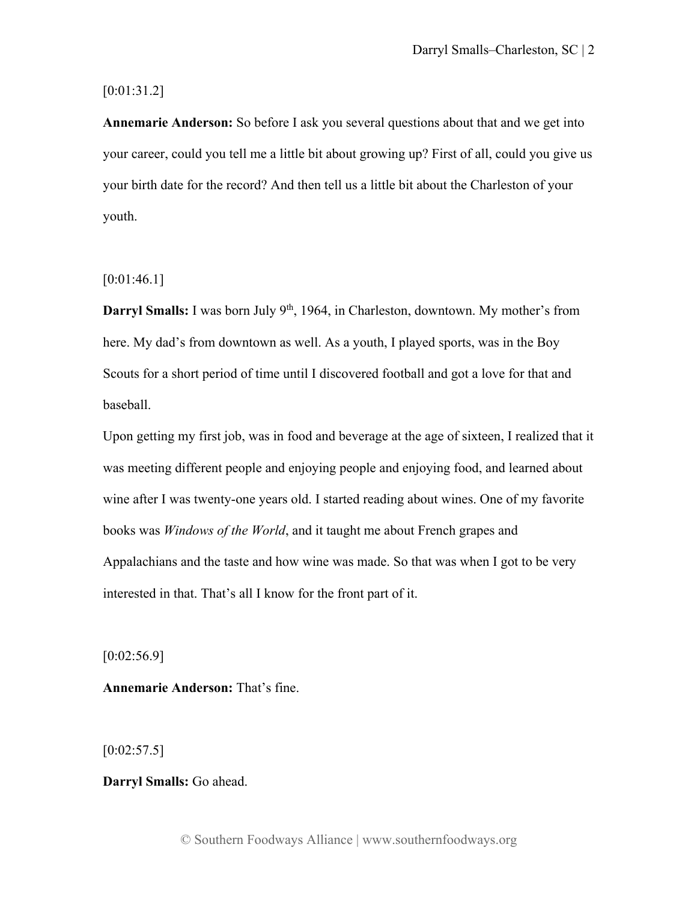## [0:01:31.2]

**Annemarie Anderson:** So before I ask you several questions about that and we get into your career, could you tell me a little bit about growing up? First of all, could you give us your birth date for the record? And then tell us a little bit about the Charleston of your youth.

# $[0:01:46.1]$

**Darryl Smalls:** I was born July 9<sup>th</sup>, 1964, in Charleston, downtown. My mother's from here. My dad's from downtown as well. As a youth, I played sports, was in the Boy Scouts for a short period of time until I discovered football and got a love for that and baseball.

Upon getting my first job, was in food and beverage at the age of sixteen, I realized that it was meeting different people and enjoying people and enjoying food, and learned about wine after I was twenty-one years old. I started reading about wines. One of my favorite books was *Windows of the World*, and it taught me about French grapes and Appalachians and the taste and how wine was made. So that was when I got to be very interested in that. That's all I know for the front part of it.

 $[0:02:56.9]$ 

**Annemarie Anderson:** That's fine.

 $[0:02:57.5]$ 

**Darryl Smalls:** Go ahead.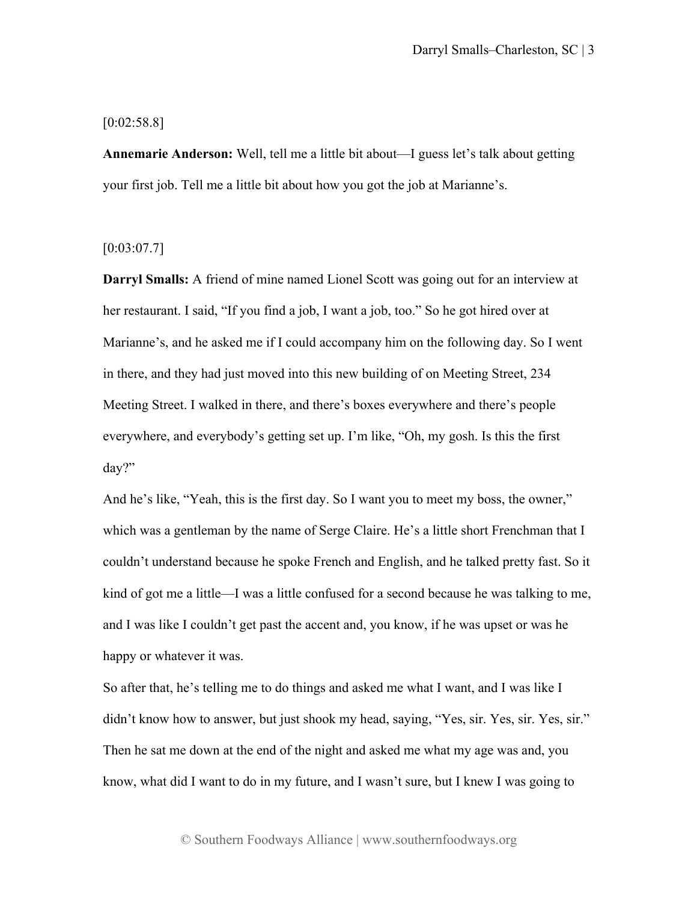## $[0:02:58.8]$

**Annemarie Anderson:** Well, tell me a little bit about—I guess let's talk about getting your first job. Tell me a little bit about how you got the job at Marianne's.

## $[0:03:07.7]$

**Darryl Smalls:** A friend of mine named Lionel Scott was going out for an interview at her restaurant. I said, "If you find a job, I want a job, too." So he got hired over at Marianne's, and he asked me if I could accompany him on the following day. So I went in there, and they had just moved into this new building of on Meeting Street, 234 Meeting Street. I walked in there, and there's boxes everywhere and there's people everywhere, and everybody's getting set up. I'm like, "Oh, my gosh. Is this the first day?"

And he's like, "Yeah, this is the first day. So I want you to meet my boss, the owner," which was a gentleman by the name of Serge Claire. He's a little short Frenchman that I couldn't understand because he spoke French and English, and he talked pretty fast. So it kind of got me a little—I was a little confused for a second because he was talking to me, and I was like I couldn't get past the accent and, you know, if he was upset or was he happy or whatever it was.

So after that, he's telling me to do things and asked me what I want, and I was like I didn't know how to answer, but just shook my head, saying, "Yes, sir. Yes, sir. Yes, sir." Then he sat me down at the end of the night and asked me what my age was and, you know, what did I want to do in my future, and I wasn't sure, but I knew I was going to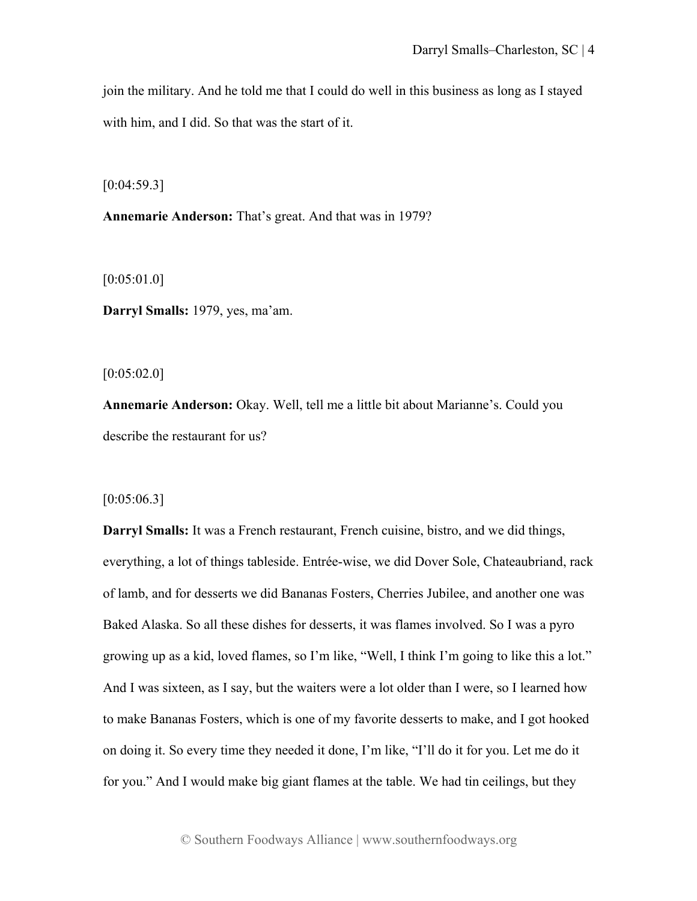join the military. And he told me that I could do well in this business as long as I stayed with him, and I did. So that was the start of it.

 $[0:04:59.3]$ 

**Annemarie Anderson:** That's great. And that was in 1979?

[0:05:01.0]

**Darryl Smalls:** 1979, yes, ma'am.

 $[0:05:02.0]$ 

**Annemarie Anderson:** Okay. Well, tell me a little bit about Marianne's. Could you describe the restaurant for us?

 $[0:05:06.3]$ 

**Darryl Smalls:** It was a French restaurant, French cuisine, bistro, and we did things, everything, a lot of things tableside. Entrée-wise, we did Dover Sole, Chateaubriand, rack of lamb, and for desserts we did Bananas Fosters, Cherries Jubilee, and another one was Baked Alaska. So all these dishes for desserts, it was flames involved. So I was a pyro growing up as a kid, loved flames, so I'm like, "Well, I think I'm going to like this a lot." And I was sixteen, as I say, but the waiters were a lot older than I were, so I learned how to make Bananas Fosters, which is one of my favorite desserts to make, and I got hooked on doing it. So every time they needed it done, I'm like, "I'll do it for you. Let me do it for you." And I would make big giant flames at the table. We had tin ceilings, but they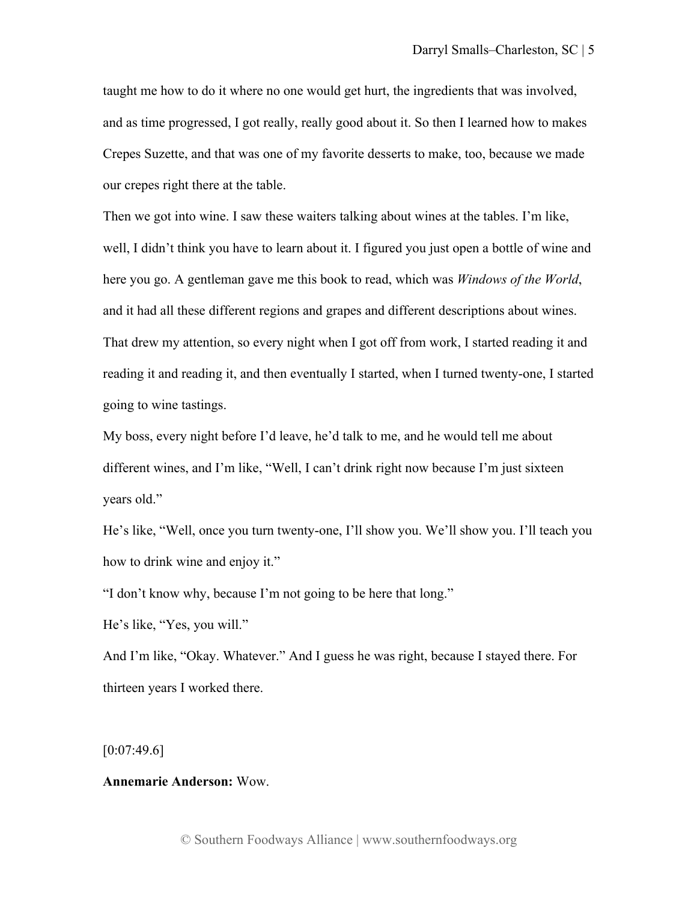taught me how to do it where no one would get hurt, the ingredients that was involved, and as time progressed, I got really, really good about it. So then I learned how to makes Crepes Suzette, and that was one of my favorite desserts to make, too, because we made our crepes right there at the table.

Then we got into wine. I saw these waiters talking about wines at the tables. I'm like, well, I didn't think you have to learn about it. I figured you just open a bottle of wine and here you go. A gentleman gave me this book to read, which was *Windows of the World*, and it had all these different regions and grapes and different descriptions about wines. That drew my attention, so every night when I got off from work, I started reading it and reading it and reading it, and then eventually I started, when I turned twenty-one, I started going to wine tastings.

My boss, every night before I'd leave, he'd talk to me, and he would tell me about different wines, and I'm like, "Well, I can't drink right now because I'm just sixteen years old."

He's like, "Well, once you turn twenty-one, I'll show you. We'll show you. I'll teach you how to drink wine and enjoy it."

"I don't know why, because I'm not going to be here that long."

He's like, "Yes, you will."

And I'm like, "Okay. Whatever." And I guess he was right, because I stayed there. For thirteen years I worked there.

 $[0:07:49.6]$ 

## **Annemarie Anderson:** Wow.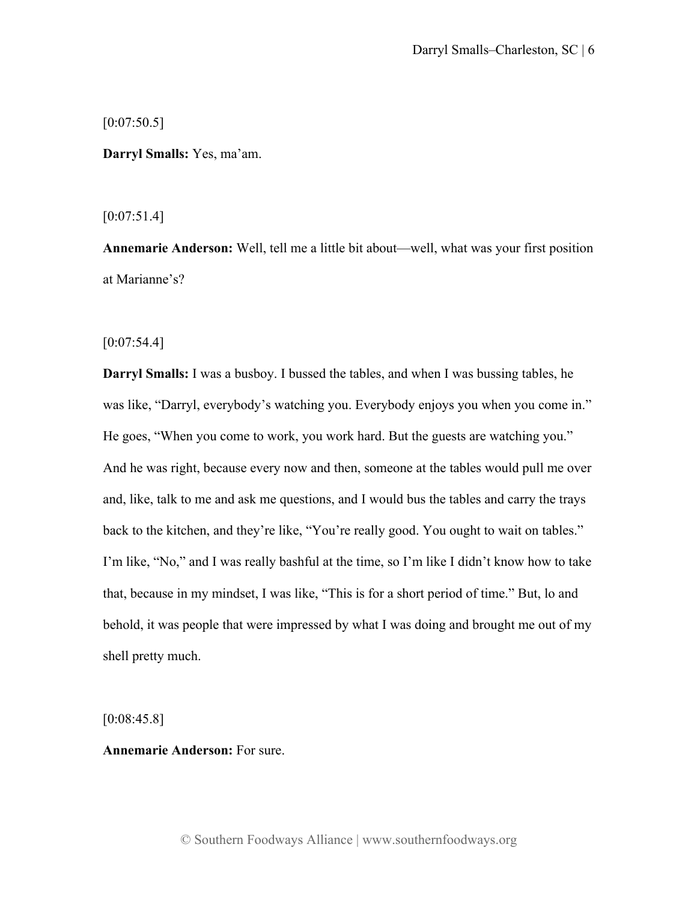[0:07:50.5]

**Darryl Smalls:** Yes, ma'am.

 $[0:07:51.4]$ 

**Annemarie Anderson:** Well, tell me a little bit about—well, what was your first position at Marianne's?

 $[0:07:54.4]$ 

**Darryl Smalls:** I was a busboy. I bussed the tables, and when I was bussing tables, he was like, "Darryl, everybody's watching you. Everybody enjoys you when you come in." He goes, "When you come to work, you work hard. But the guests are watching you." And he was right, because every now and then, someone at the tables would pull me over and, like, talk to me and ask me questions, and I would bus the tables and carry the trays back to the kitchen, and they're like, "You're really good. You ought to wait on tables." I'm like, "No," and I was really bashful at the time, so I'm like I didn't know how to take that, because in my mindset, I was like, "This is for a short period of time." But, lo and behold, it was people that were impressed by what I was doing and brought me out of my shell pretty much.

 $[0:08:45.8]$ 

**Annemarie Anderson:** For sure.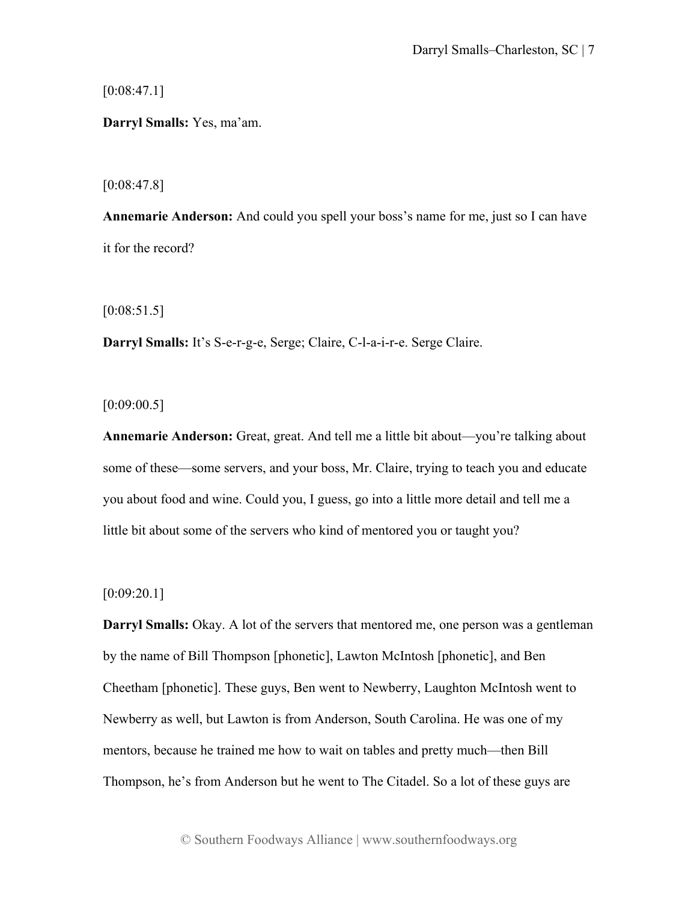$[0:08:47.1]$ 

**Darryl Smalls:** Yes, ma'am.

[0:08:47.8]

**Annemarie Anderson:** And could you spell your boss's name for me, just so I can have it for the record?

[0:08:51.5]

**Darryl Smalls:** It's S-e-r-g-e, Serge; Claire, C-l-a-i-r-e. Serge Claire.

 $[0:09:00.5]$ 

**Annemarie Anderson:** Great, great. And tell me a little bit about—you're talking about some of these—some servers, and your boss, Mr. Claire, trying to teach you and educate you about food and wine. Could you, I guess, go into a little more detail and tell me a little bit about some of the servers who kind of mentored you or taught you?

# [0:09:20.1]

**Darryl Smalls:** Okay. A lot of the servers that mentored me, one person was a gentleman by the name of Bill Thompson [phonetic], Lawton McIntosh [phonetic], and Ben Cheetham [phonetic]. These guys, Ben went to Newberry, Laughton McIntosh went to Newberry as well, but Lawton is from Anderson, South Carolina. He was one of my mentors, because he trained me how to wait on tables and pretty much—then Bill Thompson, he's from Anderson but he went to The Citadel. So a lot of these guys are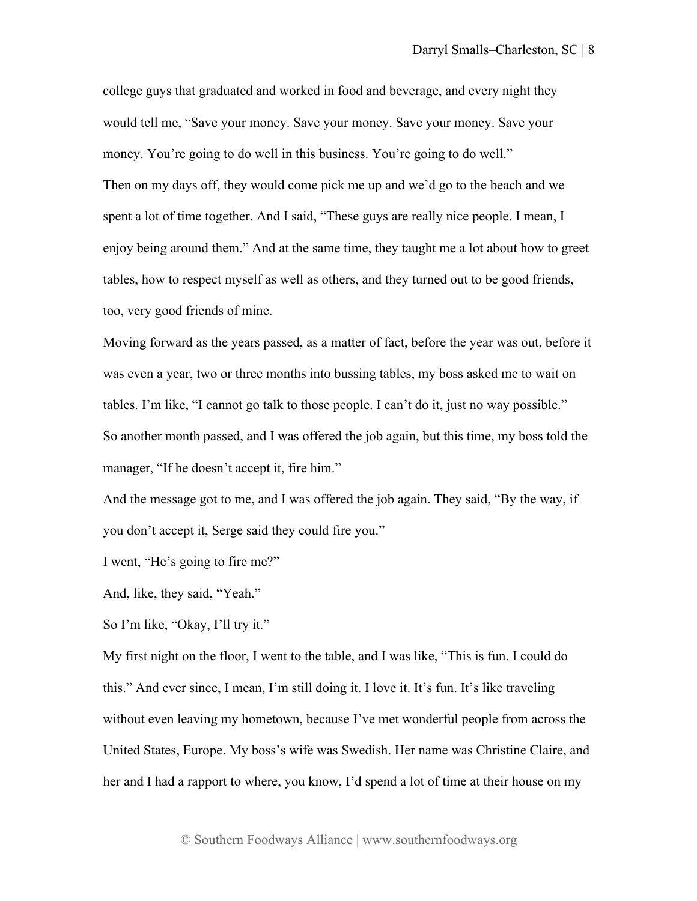college guys that graduated and worked in food and beverage, and every night they would tell me, "Save your money. Save your money. Save your money. Save your money. You're going to do well in this business. You're going to do well." Then on my days off, they would come pick me up and we'd go to the beach and we spent a lot of time together. And I said, "These guys are really nice people. I mean, I enjoy being around them." And at the same time, they taught me a lot about how to greet tables, how to respect myself as well as others, and they turned out to be good friends, too, very good friends of mine.

Moving forward as the years passed, as a matter of fact, before the year was out, before it was even a year, two or three months into bussing tables, my boss asked me to wait on tables. I'm like, "I cannot go talk to those people. I can't do it, just no way possible." So another month passed, and I was offered the job again, but this time, my boss told the manager, "If he doesn't accept it, fire him."

And the message got to me, and I was offered the job again. They said, "By the way, if you don't accept it, Serge said they could fire you."

I went, "He's going to fire me?"

And, like, they said, "Yeah."

So I'm like, "Okay, I'll try it."

My first night on the floor, I went to the table, and I was like, "This is fun. I could do this." And ever since, I mean, I'm still doing it. I love it. It's fun. It's like traveling without even leaving my hometown, because I've met wonderful people from across the United States, Europe. My boss's wife was Swedish. Her name was Christine Claire, and her and I had a rapport to where, you know, I'd spend a lot of time at their house on my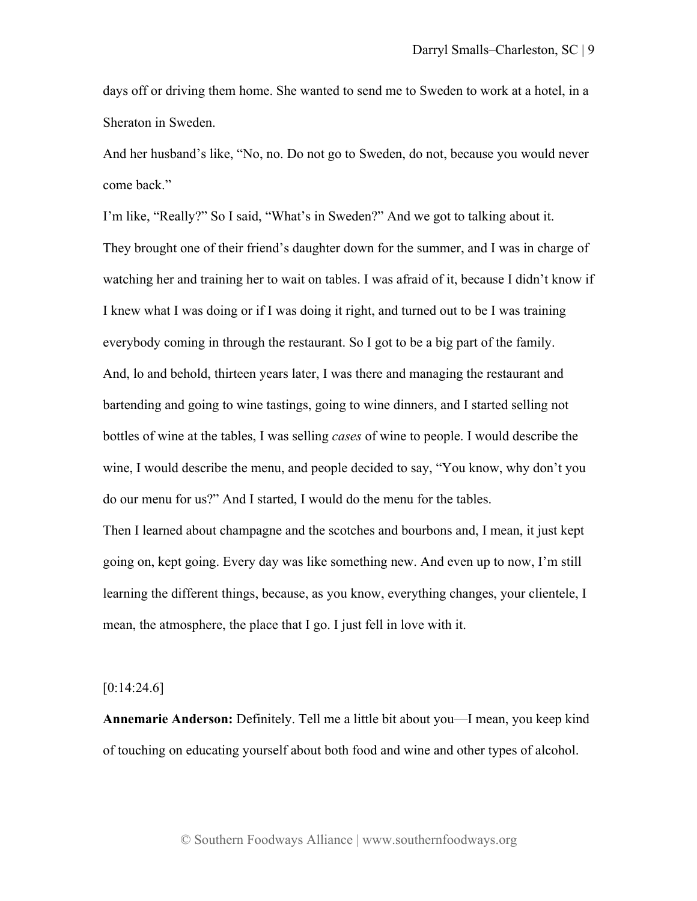days off or driving them home. She wanted to send me to Sweden to work at a hotel, in a Sheraton in Sweden.

And her husband's like, "No, no. Do not go to Sweden, do not, because you would never come back."

I'm like, "Really?" So I said, "What's in Sweden?" And we got to talking about it. They brought one of their friend's daughter down for the summer, and I was in charge of watching her and training her to wait on tables. I was afraid of it, because I didn't know if I knew what I was doing or if I was doing it right, and turned out to be I was training everybody coming in through the restaurant. So I got to be a big part of the family. And, lo and behold, thirteen years later, I was there and managing the restaurant and bartending and going to wine tastings, going to wine dinners, and I started selling not bottles of wine at the tables, I was selling *cases* of wine to people. I would describe the wine, I would describe the menu, and people decided to say, "You know, why don't you do our menu for us?" And I started, I would do the menu for the tables.

Then I learned about champagne and the scotches and bourbons and, I mean, it just kept going on, kept going. Every day was like something new. And even up to now, I'm still learning the different things, because, as you know, everything changes, your clientele, I mean, the atmosphere, the place that I go. I just fell in love with it.

### $[0:14:24.6]$

**Annemarie Anderson:** Definitely. Tell me a little bit about you—I mean, you keep kind of touching on educating yourself about both food and wine and other types of alcohol.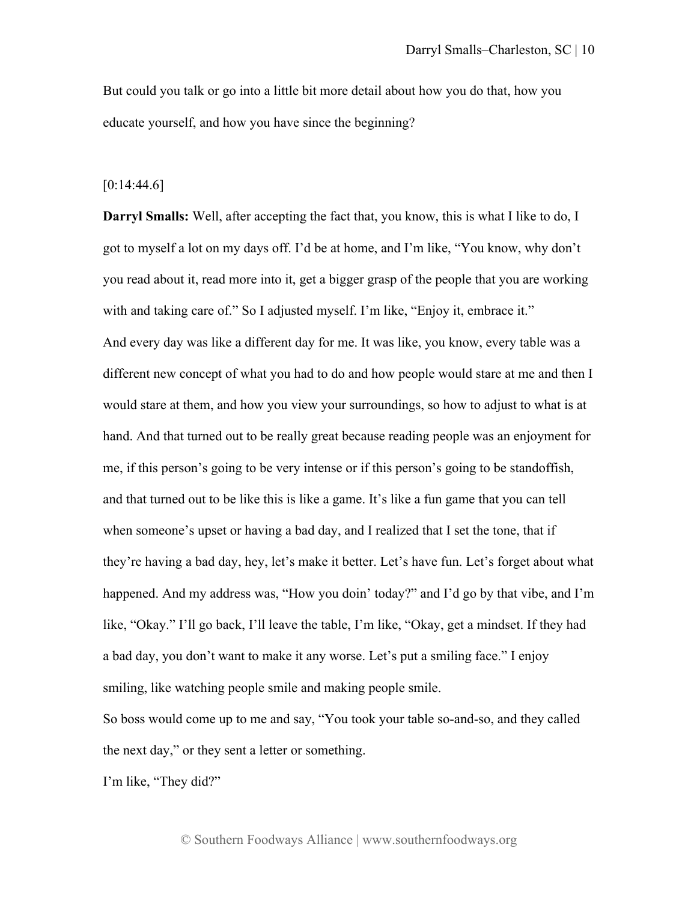But could you talk or go into a little bit more detail about how you do that, how you educate yourself, and how you have since the beginning?

#### $[0:14:44.6]$

**Darryl Smalls:** Well, after accepting the fact that, you know, this is what I like to do, I got to myself a lot on my days off. I'd be at home, and I'm like, "You know, why don't you read about it, read more into it, get a bigger grasp of the people that you are working with and taking care of." So I adjusted myself. I'm like, "Enjoy it, embrace it." And every day was like a different day for me. It was like, you know, every table was a different new concept of what you had to do and how people would stare at me and then I would stare at them, and how you view your surroundings, so how to adjust to what is at hand. And that turned out to be really great because reading people was an enjoyment for me, if this person's going to be very intense or if this person's going to be standoffish, and that turned out to be like this is like a game. It's like a fun game that you can tell when someone's upset or having a bad day, and I realized that I set the tone, that if they're having a bad day, hey, let's make it better. Let's have fun. Let's forget about what happened. And my address was, "How you doin' today?" and I'd go by that vibe, and I'm like, "Okay." I'll go back, I'll leave the table, I'm like, "Okay, get a mindset. If they had a bad day, you don't want to make it any worse. Let's put a smiling face." I enjoy smiling, like watching people smile and making people smile.

So boss would come up to me and say, "You took your table so-and-so, and they called the next day," or they sent a letter or something.

I'm like, "They did?"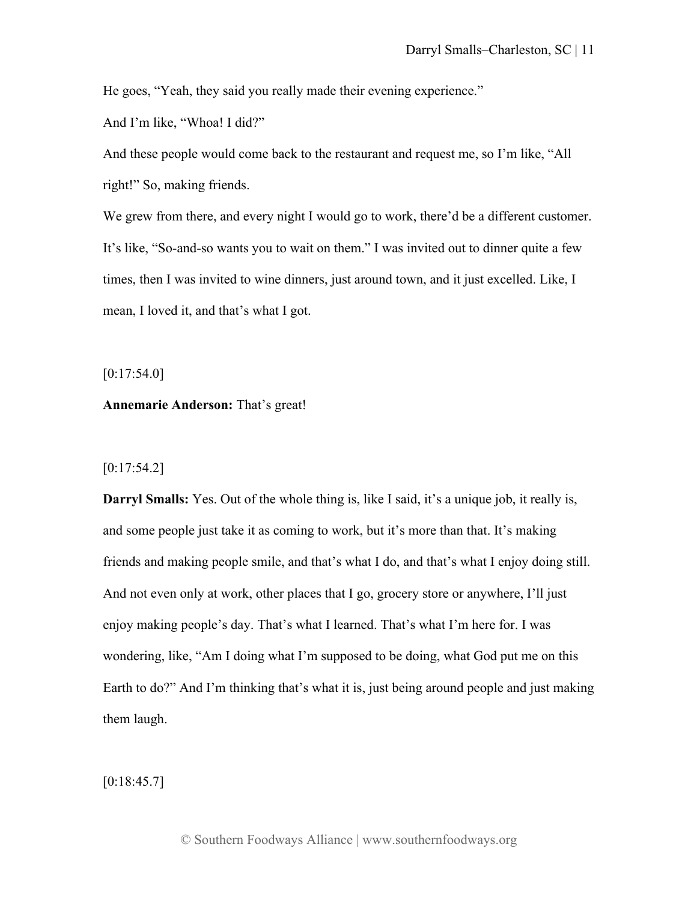He goes, "Yeah, they said you really made their evening experience."

And I'm like, "Whoa! I did?"

And these people would come back to the restaurant and request me, so I'm like, "All right!" So, making friends.

We grew from there, and every night I would go to work, there'd be a different customer. It's like, "So-and-so wants you to wait on them." I was invited out to dinner quite a few times, then I was invited to wine dinners, just around town, and it just excelled. Like, I mean, I loved it, and that's what I got.

 $[0:17:54.0]$ 

## **Annemarie Anderson:** That's great!

# $[0:17:54.2]$

**Darryl Smalls:** Yes. Out of the whole thing is, like I said, it's a unique job, it really is, and some people just take it as coming to work, but it's more than that. It's making friends and making people smile, and that's what I do, and that's what I enjoy doing still. And not even only at work, other places that I go, grocery store or anywhere, I'll just enjoy making people's day. That's what I learned. That's what I'm here for. I was wondering, like, "Am I doing what I'm supposed to be doing, what God put me on this Earth to do?" And I'm thinking that's what it is, just being around people and just making them laugh.

 $[0:18:45.7]$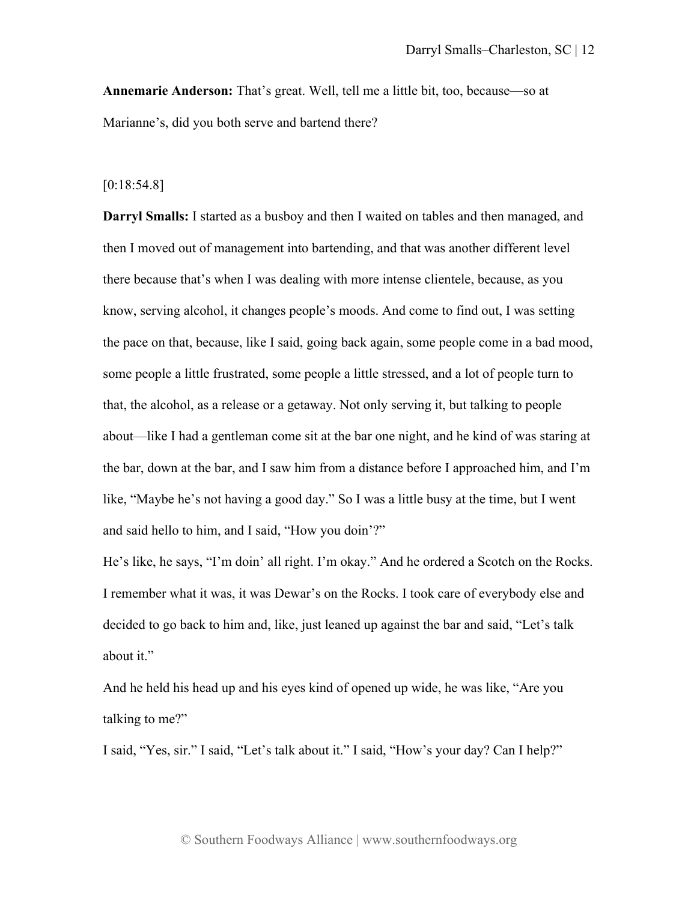**Annemarie Anderson:** That's great. Well, tell me a little bit, too, because—so at Marianne's, did you both serve and bartend there?

#### [0:18:54.8]

**Darryl Smalls:** I started as a busboy and then I waited on tables and then managed, and then I moved out of management into bartending, and that was another different level there because that's when I was dealing with more intense clientele, because, as you know, serving alcohol, it changes people's moods. And come to find out, I was setting the pace on that, because, like I said, going back again, some people come in a bad mood, some people a little frustrated, some people a little stressed, and a lot of people turn to that, the alcohol, as a release or a getaway. Not only serving it, but talking to people about—like I had a gentleman come sit at the bar one night, and he kind of was staring at the bar, down at the bar, and I saw him from a distance before I approached him, and I'm like, "Maybe he's not having a good day." So I was a little busy at the time, but I went and said hello to him, and I said, "How you doin'?"

He's like, he says, "I'm doin' all right. I'm okay." And he ordered a Scotch on the Rocks. I remember what it was, it was Dewar's on the Rocks. I took care of everybody else and decided to go back to him and, like, just leaned up against the bar and said, "Let's talk about it."

And he held his head up and his eyes kind of opened up wide, he was like, "Are you talking to me?"

I said, "Yes, sir." I said, "Let's talk about it." I said, "How's your day? Can I help?"

© Southern Foodways Alliance | www.southernfoodways.org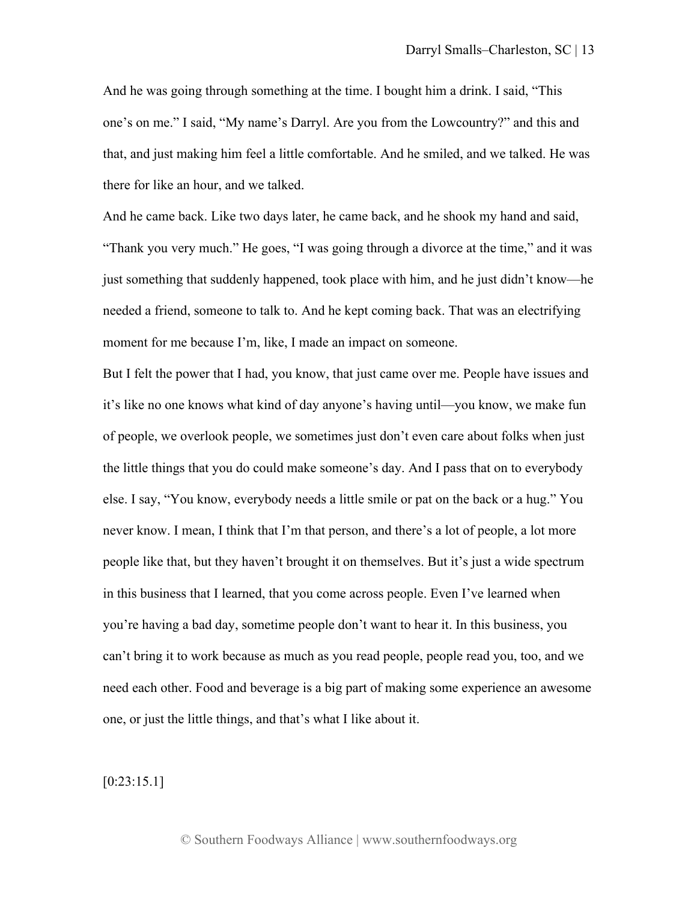And he was going through something at the time. I bought him a drink. I said, "This one's on me." I said, "My name's Darryl. Are you from the Lowcountry?" and this and that, and just making him feel a little comfortable. And he smiled, and we talked. He was there for like an hour, and we talked.

And he came back. Like two days later, he came back, and he shook my hand and said, "Thank you very much." He goes, "I was going through a divorce at the time," and it was just something that suddenly happened, took place with him, and he just didn't know—he needed a friend, someone to talk to. And he kept coming back. That was an electrifying moment for me because I'm, like, I made an impact on someone.

But I felt the power that I had, you know, that just came over me. People have issues and it's like no one knows what kind of day anyone's having until—you know, we make fun of people, we overlook people, we sometimes just don't even care about folks when just the little things that you do could make someone's day. And I pass that on to everybody else. I say, "You know, everybody needs a little smile or pat on the back or a hug." You never know. I mean, I think that I'm that person, and there's a lot of people, a lot more people like that, but they haven't brought it on themselves. But it's just a wide spectrum in this business that I learned, that you come across people. Even I've learned when you're having a bad day, sometime people don't want to hear it. In this business, you can't bring it to work because as much as you read people, people read you, too, and we need each other. Food and beverage is a big part of making some experience an awesome one, or just the little things, and that's what I like about it.

[0:23:15.1]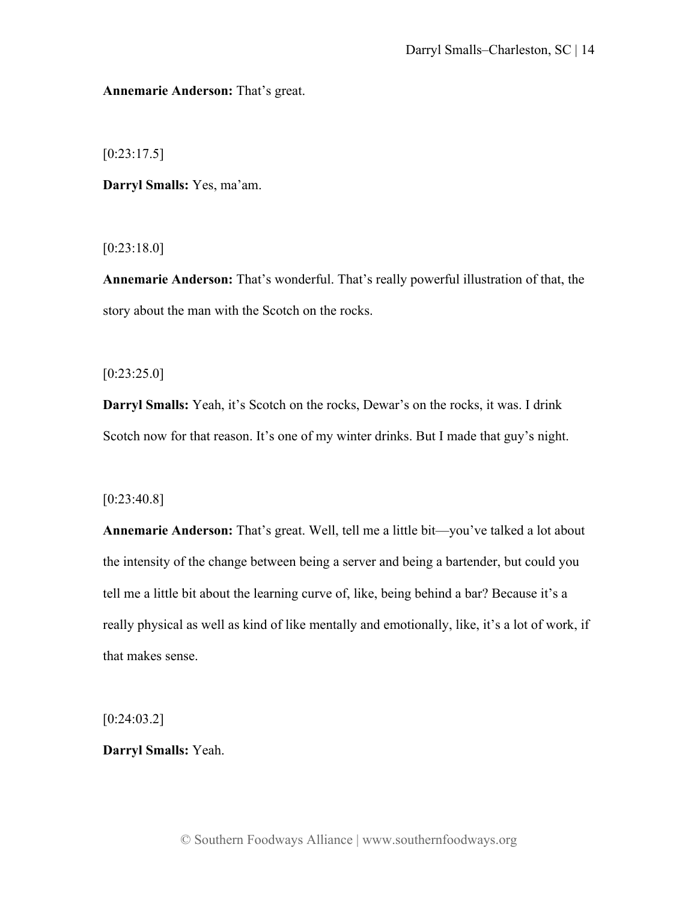# **Annemarie Anderson:** That's great.

 $[0:23:17.5]$ 

**Darryl Smalls:** Yes, ma'am.

[0:23:18.0]

**Annemarie Anderson:** That's wonderful. That's really powerful illustration of that, the story about the man with the Scotch on the rocks.

 $[0:23:25.0]$ 

**Darryl Smalls:** Yeah, it's Scotch on the rocks, Dewar's on the rocks, it was. I drink Scotch now for that reason. It's one of my winter drinks. But I made that guy's night.

[0:23:40.8]

**Annemarie Anderson:** That's great. Well, tell me a little bit—you've talked a lot about the intensity of the change between being a server and being a bartender, but could you tell me a little bit about the learning curve of, like, being behind a bar? Because it's a really physical as well as kind of like mentally and emotionally, like, it's a lot of work, if that makes sense.

 $[0:24:03.2]$ 

**Darryl Smalls:** Yeah.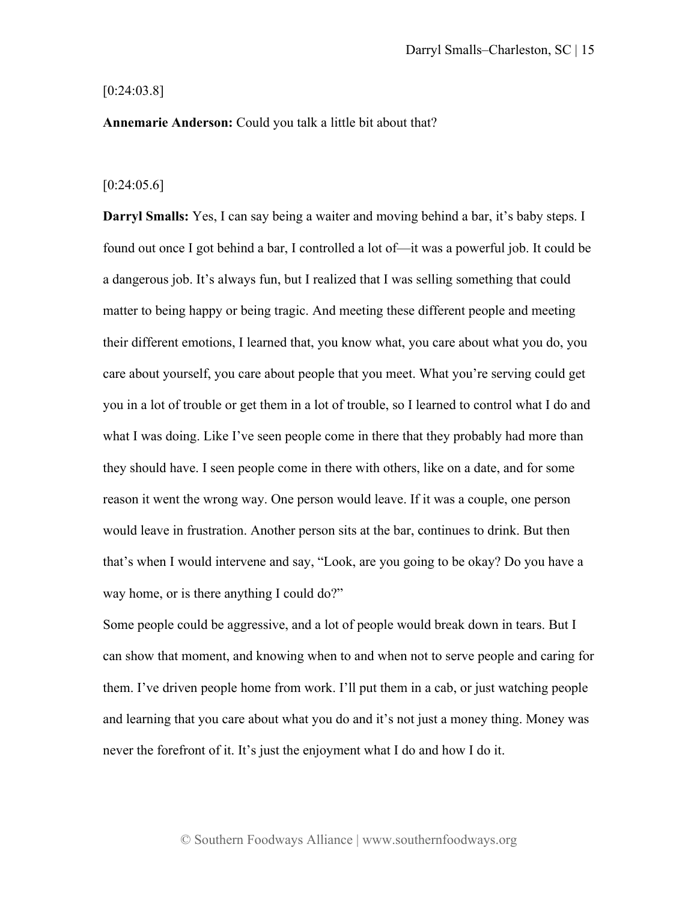#### [0:24:03.8]

**Annemarie Anderson:** Could you talk a little bit about that?

## $[0:24:05.6]$

**Darryl Smalls:** Yes, I can say being a waiter and moving behind a bar, it's baby steps. I found out once I got behind a bar, I controlled a lot of—it was a powerful job. It could be a dangerous job. It's always fun, but I realized that I was selling something that could matter to being happy or being tragic. And meeting these different people and meeting their different emotions, I learned that, you know what, you care about what you do, you care about yourself, you care about people that you meet. What you're serving could get you in a lot of trouble or get them in a lot of trouble, so I learned to control what I do and what I was doing. Like I've seen people come in there that they probably had more than they should have. I seen people come in there with others, like on a date, and for some reason it went the wrong way. One person would leave. If it was a couple, one person would leave in frustration. Another person sits at the bar, continues to drink. But then that's when I would intervene and say, "Look, are you going to be okay? Do you have a way home, or is there anything I could do?"

Some people could be aggressive, and a lot of people would break down in tears. But I can show that moment, and knowing when to and when not to serve people and caring for them. I've driven people home from work. I'll put them in a cab, or just watching people and learning that you care about what you do and it's not just a money thing. Money was never the forefront of it. It's just the enjoyment what I do and how I do it.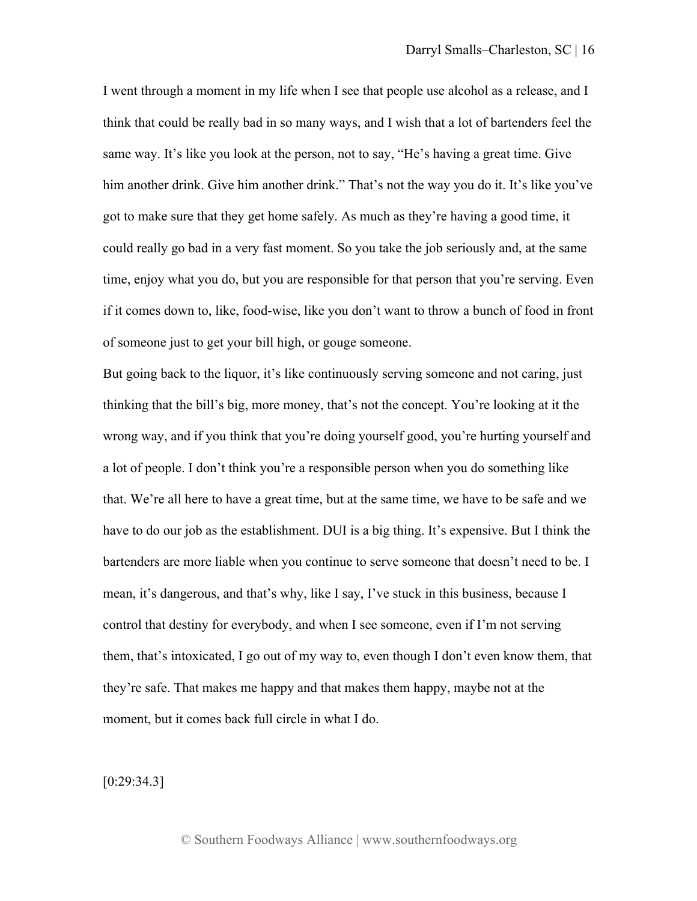I went through a moment in my life when I see that people use alcohol as a release, and I think that could be really bad in so many ways, and I wish that a lot of bartenders feel the same way. It's like you look at the person, not to say, "He's having a great time. Give him another drink. Give him another drink." That's not the way you do it. It's like you've got to make sure that they get home safely. As much as they're having a good time, it could really go bad in a very fast moment. So you take the job seriously and, at the same time, enjoy what you do, but you are responsible for that person that you're serving. Even if it comes down to, like, food-wise, like you don't want to throw a bunch of food in front of someone just to get your bill high, or gouge someone.

But going back to the liquor, it's like continuously serving someone and not caring, just thinking that the bill's big, more money, that's not the concept. You're looking at it the wrong way, and if you think that you're doing yourself good, you're hurting yourself and a lot of people. I don't think you're a responsible person when you do something like that. We're all here to have a great time, but at the same time, we have to be safe and we have to do our job as the establishment. DUI is a big thing. It's expensive. But I think the bartenders are more liable when you continue to serve someone that doesn't need to be. I mean, it's dangerous, and that's why, like I say, I've stuck in this business, because I control that destiny for everybody, and when I see someone, even if I'm not serving them, that's intoxicated, I go out of my way to, even though I don't even know them, that they're safe. That makes me happy and that makes them happy, maybe not at the moment, but it comes back full circle in what I do.

[0:29:34.3]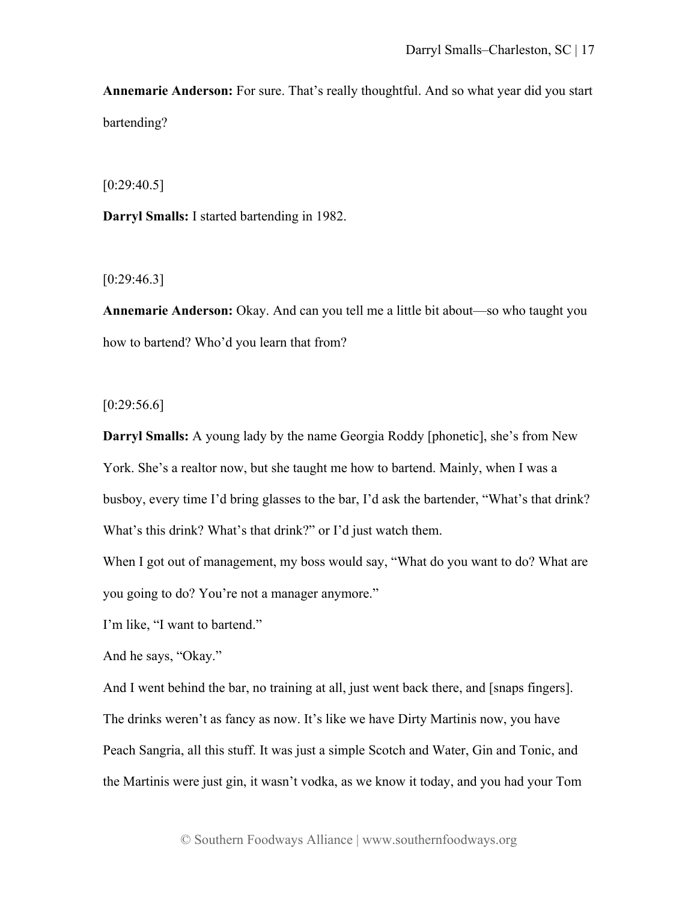**Annemarie Anderson:** For sure. That's really thoughtful. And so what year did you start bartending?

 $[0:29:40.5]$ 

**Darryl Smalls:** I started bartending in 1982.

 $[0:29:46.3]$ 

**Annemarie Anderson:** Okay. And can you tell me a little bit about—so who taught you how to bartend? Who'd you learn that from?

 $[0:29:56.6]$ 

**Darryl Smalls:** A young lady by the name Georgia Roddy [phonetic], she's from New York. She's a realtor now, but she taught me how to bartend. Mainly, when I was a busboy, every time I'd bring glasses to the bar, I'd ask the bartender, "What's that drink? What's this drink? What's that drink?" or I'd just watch them.

When I got out of management, my boss would say, "What do you want to do? What are you going to do? You're not a manager anymore."

I'm like, "I want to bartend."

And he says, "Okay."

And I went behind the bar, no training at all, just went back there, and [snaps fingers]. The drinks weren't as fancy as now. It's like we have Dirty Martinis now, you have Peach Sangria, all this stuff. It was just a simple Scotch and Water, Gin and Tonic, and the Martinis were just gin, it wasn't vodka, as we know it today, and you had your Tom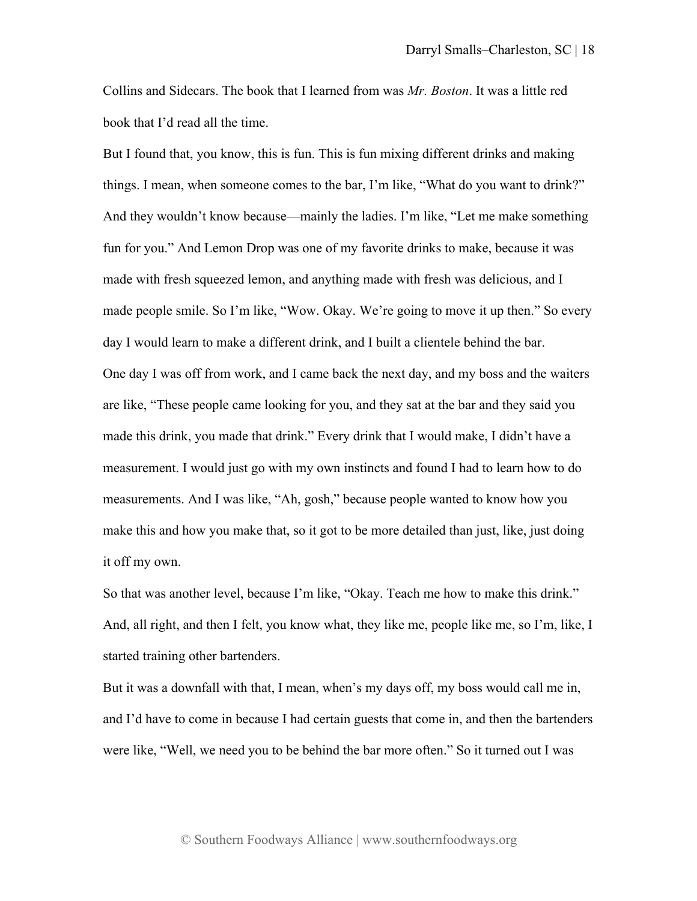Collins and Sidecars. The book that I learned from was *Mr. Boston*. It was a little red book that I'd read all the time.

But I found that, you know, this is fun. This is fun mixing different drinks and making things. I mean, when someone comes to the bar, I'm like, "What do you want to drink?" And they wouldn't know because—mainly the ladies. I'm like, "Let me make something fun for you." And Lemon Drop was one of my favorite drinks to make, because it was made with fresh squeezed lemon, and anything made with fresh was delicious, and I made people smile. So I'm like, "Wow. Okay. We're going to move it up then." So every day I would learn to make a different drink, and I built a clientele behind the bar. One day I was off from work, and I came back the next day, and my boss and the waiters are like, "These people came looking for you, and they sat at the bar and they said you made this drink, you made that drink." Every drink that I would make, I didn't have a measurement. I would just go with my own instincts and found I had to learn how to do measurements. And I was like, "Ah, gosh," because people wanted to know how you make this and how you make that, so it got to be more detailed than just, like, just doing it off my own.

So that was another level, because I'm like, "Okay. Teach me how to make this drink." And, all right, and then I felt, you know what, they like me, people like me, so I'm, like, I started training other bartenders.

But it was a downfall with that, I mean, when's my days off, my boss would call me in, and I'd have to come in because I had certain guests that come in, and then the bartenders were like, "Well, we need you to be behind the bar more often." So it turned out I was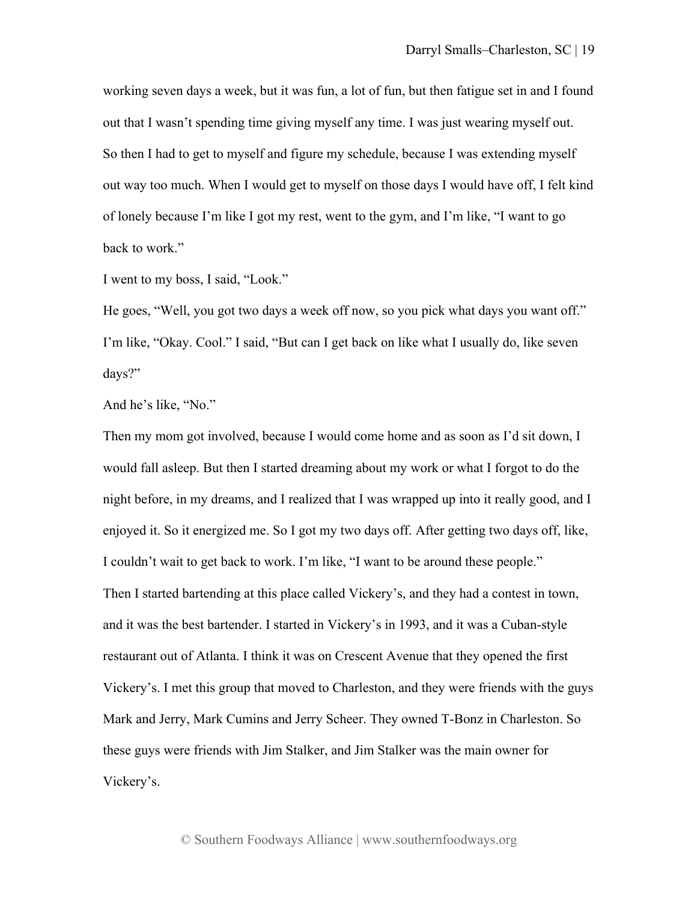working seven days a week, but it was fun, a lot of fun, but then fatigue set in and I found out that I wasn't spending time giving myself any time. I was just wearing myself out. So then I had to get to myself and figure my schedule, because I was extending myself out way too much. When I would get to myself on those days I would have off, I felt kind of lonely because I'm like I got my rest, went to the gym, and I'm like, "I want to go back to work."

I went to my boss, I said, "Look."

He goes, "Well, you got two days a week off now, so you pick what days you want off." I'm like, "Okay. Cool." I said, "But can I get back on like what I usually do, like seven days?"

And he's like, "No."

Then my mom got involved, because I would come home and as soon as I'd sit down, I would fall asleep. But then I started dreaming about my work or what I forgot to do the night before, in my dreams, and I realized that I was wrapped up into it really good, and I enjoyed it. So it energized me. So I got my two days off. After getting two days off, like, I couldn't wait to get back to work. I'm like, "I want to be around these people." Then I started bartending at this place called Vickery's, and they had a contest in town, and it was the best bartender. I started in Vickery's in 1993, and it was a Cuban-style restaurant out of Atlanta. I think it was on Crescent Avenue that they opened the first Vickery's. I met this group that moved to Charleston, and they were friends with the guys Mark and Jerry, Mark Cumins and Jerry Scheer. They owned T-Bonz in Charleston. So these guys were friends with Jim Stalker, and Jim Stalker was the main owner for Vickery's.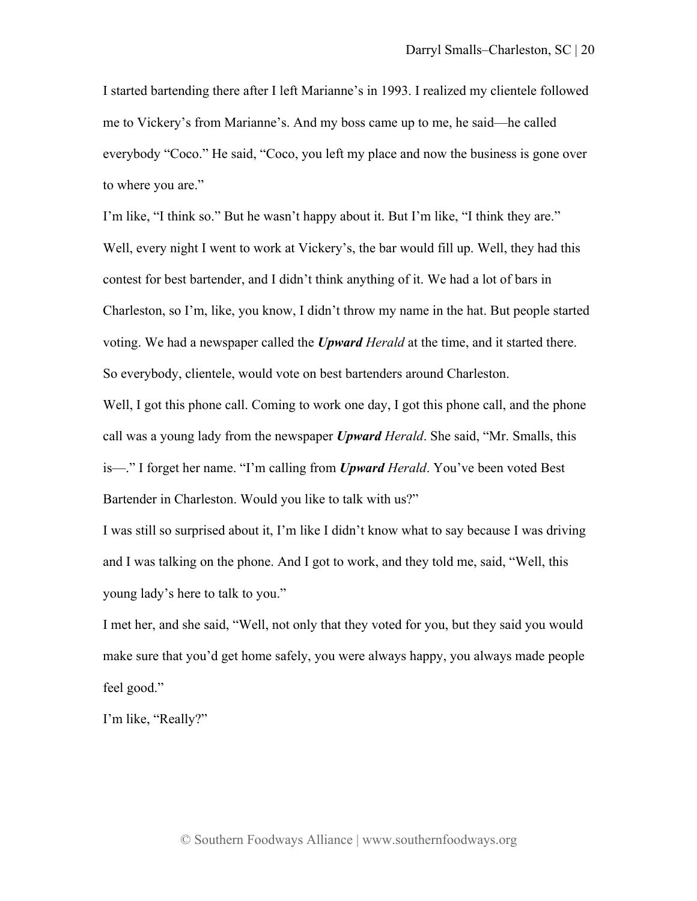I started bartending there after I left Marianne's in 1993. I realized my clientele followed me to Vickery's from Marianne's. And my boss came up to me, he said—he called everybody "Coco." He said, "Coco, you left my place and now the business is gone over to where you are."

I'm like, "I think so." But he wasn't happy about it. But I'm like, "I think they are." Well, every night I went to work at Vickery's, the bar would fill up. Well, they had this contest for best bartender, and I didn't think anything of it. We had a lot of bars in Charleston, so I'm, like, you know, I didn't throw my name in the hat. But people started voting. We had a newspaper called the *Upward Herald* at the time, and it started there. So everybody, clientele, would vote on best bartenders around Charleston.

Well, I got this phone call. Coming to work one day, I got this phone call, and the phone call was a young lady from the newspaper *Upward Herald*. She said, "Mr. Smalls, this is—." I forget her name. "I'm calling from *Upward Herald*. You've been voted Best Bartender in Charleston. Would you like to talk with us?"

I was still so surprised about it, I'm like I didn't know what to say because I was driving and I was talking on the phone. And I got to work, and they told me, said, "Well, this young lady's here to talk to you."

I met her, and she said, "Well, not only that they voted for you, but they said you would make sure that you'd get home safely, you were always happy, you always made people feel good."

I'm like, "Really?"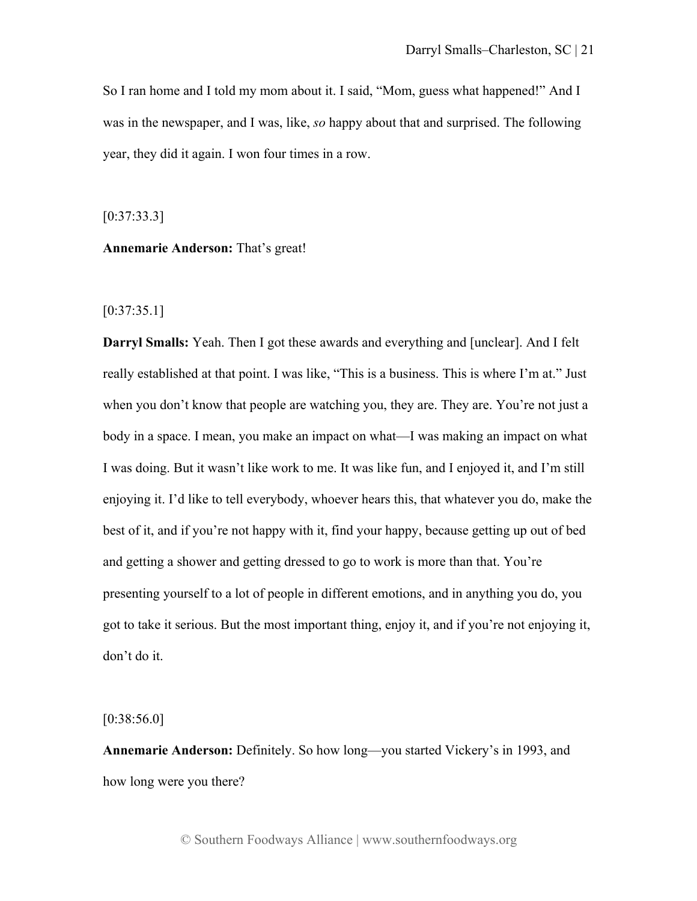So I ran home and I told my mom about it. I said, "Mom, guess what happened!" And I was in the newspaper, and I was, like, *so* happy about that and surprised. The following year, they did it again. I won four times in a row.

[0:37:33.3]

**Annemarie Anderson:** That's great!

## [0:37:35.1]

**Darryl Smalls:** Yeah. Then I got these awards and everything and [unclear]. And I felt really established at that point. I was like, "This is a business. This is where I'm at." Just when you don't know that people are watching you, they are. They are. You're not just a body in a space. I mean, you make an impact on what—I was making an impact on what I was doing. But it wasn't like work to me. It was like fun, and I enjoyed it, and I'm still enjoying it. I'd like to tell everybody, whoever hears this, that whatever you do, make the best of it, and if you're not happy with it, find your happy, because getting up out of bed and getting a shower and getting dressed to go to work is more than that. You're presenting yourself to a lot of people in different emotions, and in anything you do, you got to take it serious. But the most important thing, enjoy it, and if you're not enjoying it, don't do it.

[0:38:56.0]

**Annemarie Anderson:** Definitely. So how long—you started Vickery's in 1993, and how long were you there?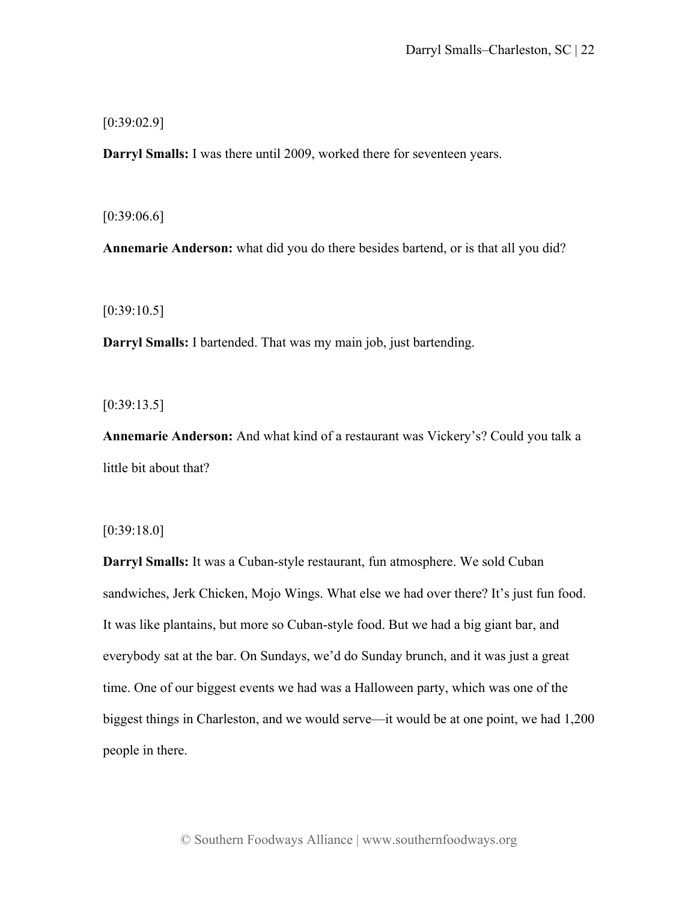[0:39:02.9]

**Darryl Smalls:** I was there until 2009, worked there for seventeen years.

[0:39:06.6]

**Annemarie Anderson:** what did you do there besides bartend, or is that all you did?

[0:39:10.5]

**Darryl Smalls:** I bartended. That was my main job, just bartending.

 $[0:39:13.5]$ 

**Annemarie Anderson:** And what kind of a restaurant was Vickery's? Could you talk a little bit about that?

[0:39:18.0]

**Darryl Smalls:** It was a Cuban-style restaurant, fun atmosphere. We sold Cuban sandwiches, Jerk Chicken, Mojo Wings. What else we had over there? It's just fun food. It was like plantains, but more so Cuban-style food. But we had a big giant bar, and everybody sat at the bar. On Sundays, we'd do Sunday brunch, and it was just a great time. One of our biggest events we had was a Halloween party, which was one of the biggest things in Charleston, and we would serve—it would be at one point, we had 1,200 people in there.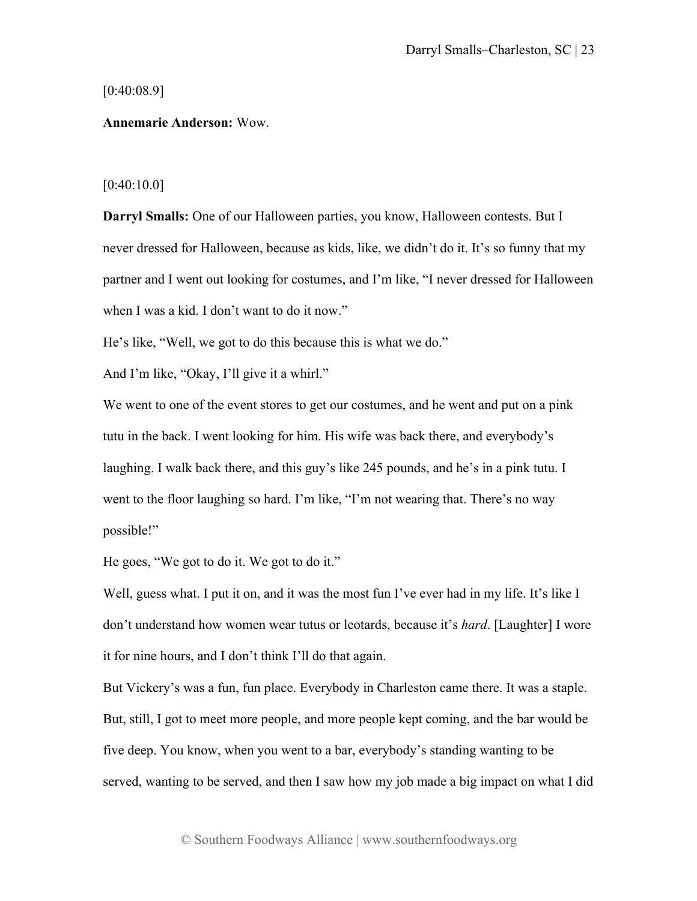#### [0:40:08.9]

## **Annemarie Anderson:** Wow.

### [0:40:10.0]

**Darryl Smalls:** One of our Halloween parties, you know, Halloween contests. But I never dressed for Halloween, because as kids, like, we didn't do it. It's so funny that my partner and I went out looking for costumes, and I'm like, "I never dressed for Halloween when I was a kid. I don't want to do it now."

He's like, "Well, we got to do this because this is what we do."

And I'm like, "Okay, I'll give it a whirl."

We went to one of the event stores to get our costumes, and he went and put on a pink tutu in the back. I went looking for him. His wife was back there, and everybody's laughing. I walk back there, and this guy's like 245 pounds, and he's in a pink tutu. I went to the floor laughing so hard. I'm like, "I'm not wearing that. There's no way possible!"

He goes, "We got to do it. We got to do it."

Well, guess what. I put it on, and it was the most fun I've ever had in my life. It's like I don't understand how women wear tutus or leotards, because it's *hard*. [Laughter] I wore it for nine hours, and I don't think I'll do that again.

But Vickery's was a fun, fun place. Everybody in Charleston came there. It was a staple. But, still, I got to meet more people, and more people kept coming, and the bar would be five deep. You know, when you went to a bar, everybody's standing wanting to be served, wanting to be served, and then I saw how my job made a big impact on what I did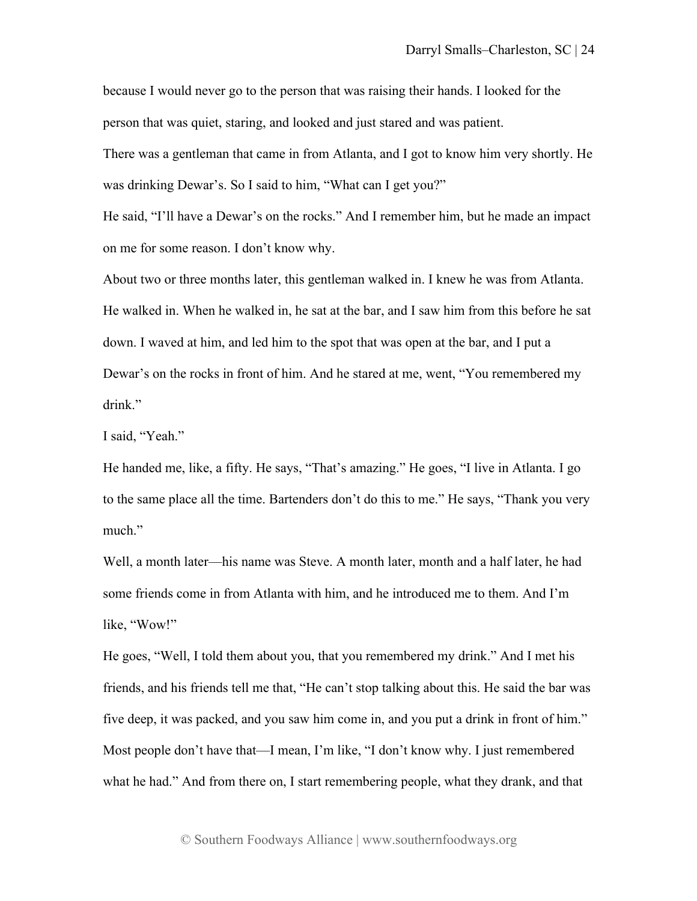because I would never go to the person that was raising their hands. I looked for the person that was quiet, staring, and looked and just stared and was patient.

There was a gentleman that came in from Atlanta, and I got to know him very shortly. He was drinking Dewar's. So I said to him, "What can I get you?"

He said, "I'll have a Dewar's on the rocks." And I remember him, but he made an impact on me for some reason. I don't know why.

About two or three months later, this gentleman walked in. I knew he was from Atlanta. He walked in. When he walked in, he sat at the bar, and I saw him from this before he sat down. I waved at him, and led him to the spot that was open at the bar, and I put a Dewar's on the rocks in front of him. And he stared at me, went, "You remembered my drink."

I said, "Yeah."

He handed me, like, a fifty. He says, "That's amazing." He goes, "I live in Atlanta. I go to the same place all the time. Bartenders don't do this to me." He says, "Thank you very much."

Well, a month later—his name was Steve. A month later, month and a half later, he had some friends come in from Atlanta with him, and he introduced me to them. And I'm like, "Wow!"

He goes, "Well, I told them about you, that you remembered my drink." And I met his friends, and his friends tell me that, "He can't stop talking about this. He said the bar was five deep, it was packed, and you saw him come in, and you put a drink in front of him." Most people don't have that—I mean, I'm like, "I don't know why. I just remembered what he had." And from there on, I start remembering people, what they drank, and that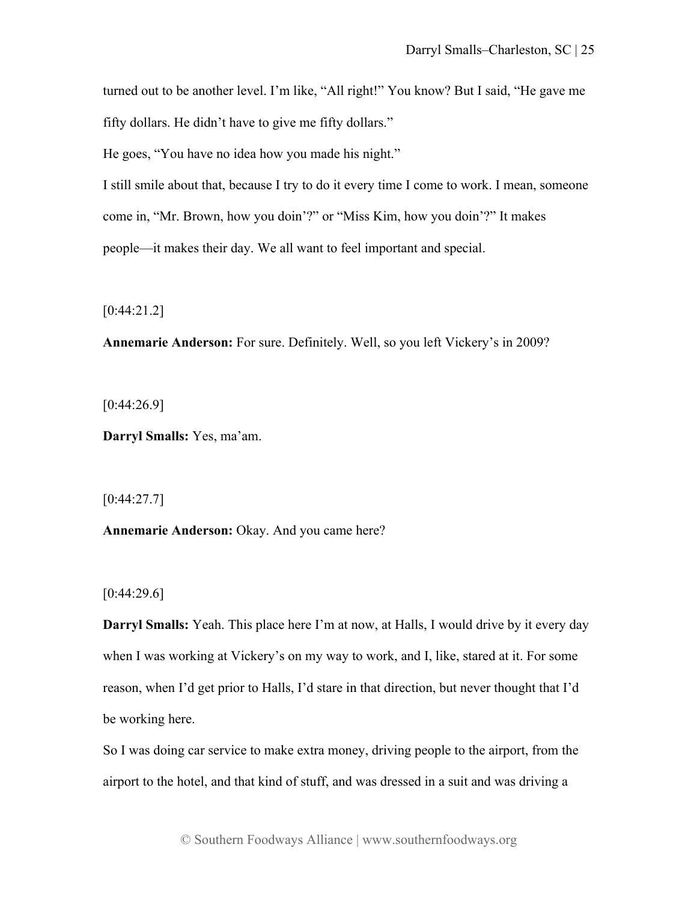turned out to be another level. I'm like, "All right!" You know? But I said, "He gave me fifty dollars. He didn't have to give me fifty dollars."

He goes, "You have no idea how you made his night."

I still smile about that, because I try to do it every time I come to work. I mean, someone come in, "Mr. Brown, how you doin'?" or "Miss Kim, how you doin'?" It makes people—it makes their day. We all want to feel important and special.

[0:44:21.2]

**Annemarie Anderson:** For sure. Definitely. Well, so you left Vickery's in 2009?

 $[0:44:26.9]$ 

**Darryl Smalls:** Yes, ma'am.

[0:44:27.7]

**Annemarie Anderson:** Okay. And you came here?

 $[0:44:29.6]$ 

**Darryl Smalls:** Yeah. This place here I'm at now, at Halls, I would drive by it every day when I was working at Vickery's on my way to work, and I, like, stared at it. For some reason, when I'd get prior to Halls, I'd stare in that direction, but never thought that I'd be working here.

So I was doing car service to make extra money, driving people to the airport, from the airport to the hotel, and that kind of stuff, and was dressed in a suit and was driving a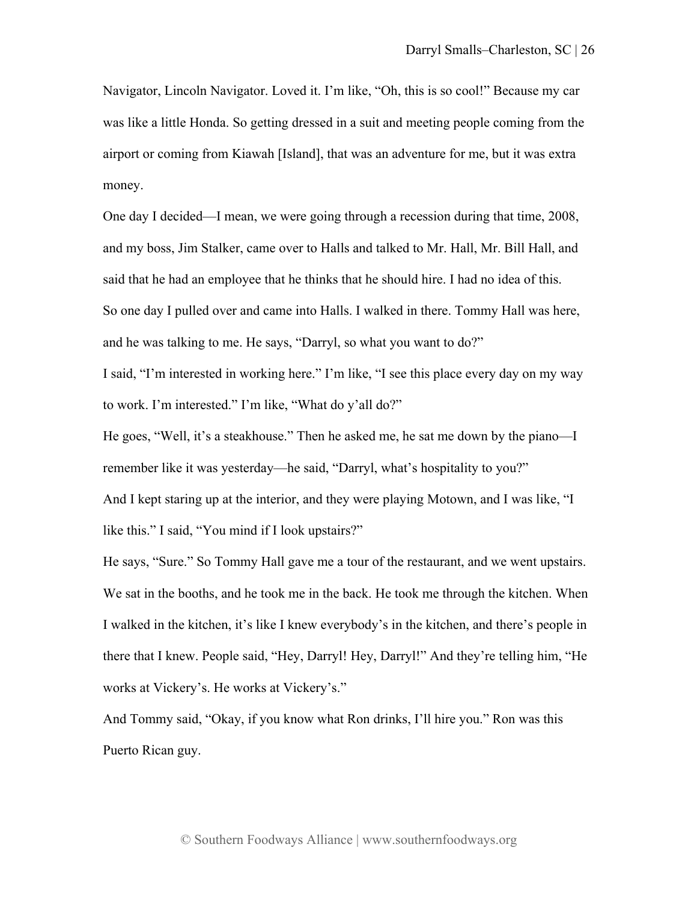Navigator, Lincoln Navigator. Loved it. I'm like, "Oh, this is so cool!" Because my car was like a little Honda. So getting dressed in a suit and meeting people coming from the airport or coming from Kiawah [Island], that was an adventure for me, but it was extra money.

One day I decided—I mean, we were going through a recession during that time, 2008, and my boss, Jim Stalker, came over to Halls and talked to Mr. Hall, Mr. Bill Hall, and said that he had an employee that he thinks that he should hire. I had no idea of this. So one day I pulled over and came into Halls. I walked in there. Tommy Hall was here, and he was talking to me. He says, "Darryl, so what you want to do?"

I said, "I'm interested in working here." I'm like, "I see this place every day on my way to work. I'm interested." I'm like, "What do y'all do?"

He goes, "Well, it's a steakhouse." Then he asked me, he sat me down by the piano—I remember like it was yesterday—he said, "Darryl, what's hospitality to you?"

And I kept staring up at the interior, and they were playing Motown, and I was like, "I like this." I said, "You mind if I look upstairs?"

He says, "Sure." So Tommy Hall gave me a tour of the restaurant, and we went upstairs. We sat in the booths, and he took me in the back. He took me through the kitchen. When I walked in the kitchen, it's like I knew everybody's in the kitchen, and there's people in there that I knew. People said, "Hey, Darryl! Hey, Darryl!" And they're telling him, "He works at Vickery's. He works at Vickery's."

And Tommy said, "Okay, if you know what Ron drinks, I'll hire you." Ron was this Puerto Rican guy.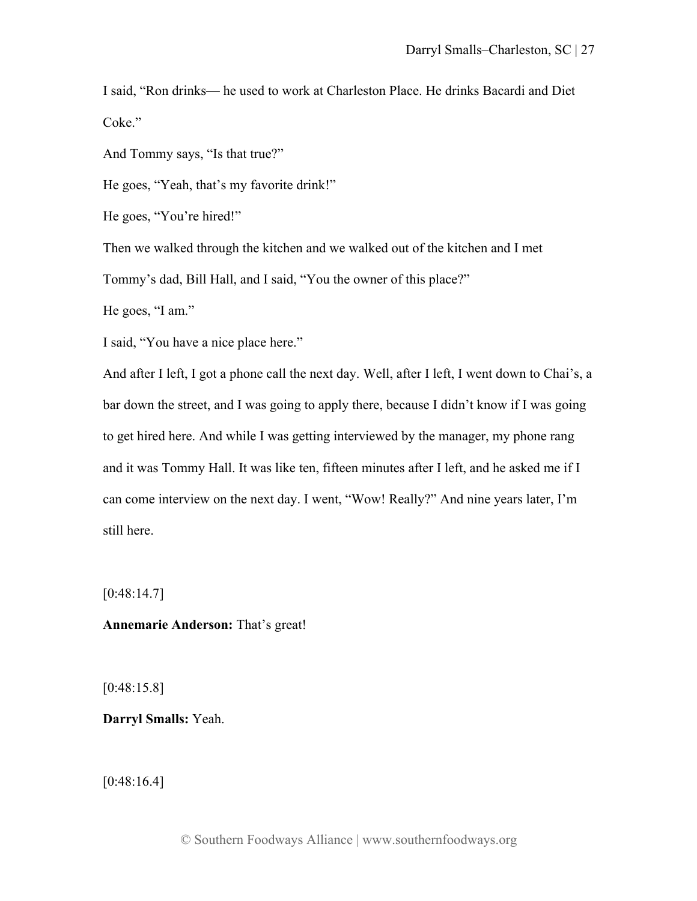I said, "Ron drinks— he used to work at Charleston Place. He drinks Bacardi and Diet Coke."

And Tommy says, "Is that true?"

He goes, "Yeah, that's my favorite drink!"

He goes, "You're hired!"

Then we walked through the kitchen and we walked out of the kitchen and I met

Tommy's dad, Bill Hall, and I said, "You the owner of this place?"

He goes, "I am."

I said, "You have a nice place here."

And after I left, I got a phone call the next day. Well, after I left, I went down to Chai's, a bar down the street, and I was going to apply there, because I didn't know if I was going to get hired here. And while I was getting interviewed by the manager, my phone rang and it was Tommy Hall. It was like ten, fifteen minutes after I left, and he asked me if I can come interview on the next day. I went, "Wow! Really?" And nine years later, I'm still here.

 $[0:48:14.7]$ 

# **Annemarie Anderson:** That's great!

[0:48:15.8]

**Darryl Smalls:** Yeah.

[0:48:16.4]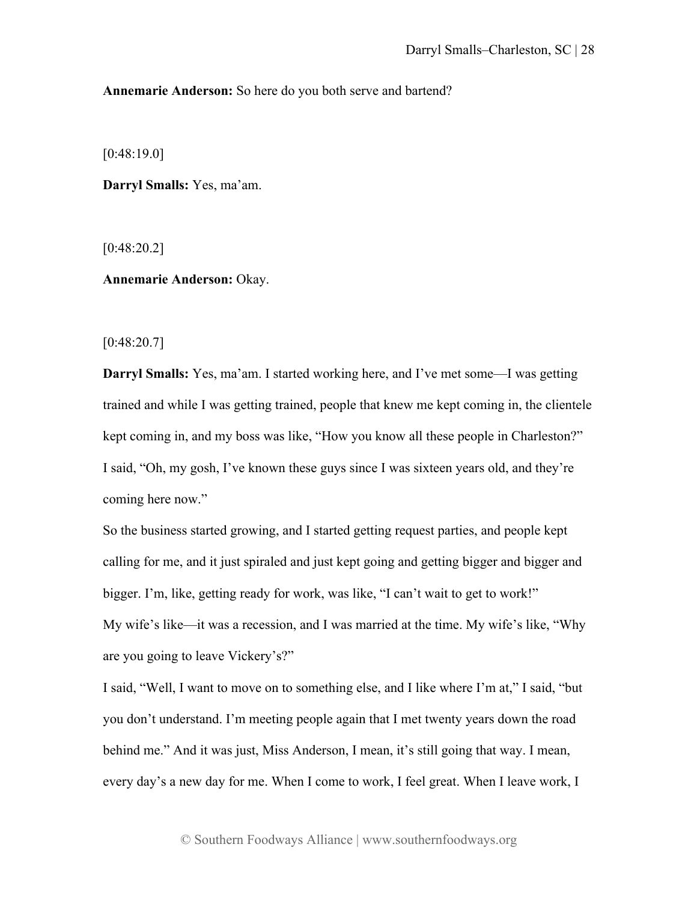**Annemarie Anderson:** So here do you both serve and bartend?

[0:48:19.0]

**Darryl Smalls:** Yes, ma'am.

[0:48:20.2]

**Annemarie Anderson:** Okay.

[0:48:20.7]

**Darryl Smalls:** Yes, ma'am. I started working here, and I've met some—I was getting trained and while I was getting trained, people that knew me kept coming in, the clientele kept coming in, and my boss was like, "How you know all these people in Charleston?" I said, "Oh, my gosh, I've known these guys since I was sixteen years old, and they're coming here now."

So the business started growing, and I started getting request parties, and people kept calling for me, and it just spiraled and just kept going and getting bigger and bigger and bigger. I'm, like, getting ready for work, was like, "I can't wait to get to work!" My wife's like—it was a recession, and I was married at the time. My wife's like, "Why are you going to leave Vickery's?"

I said, "Well, I want to move on to something else, and I like where I'm at," I said, "but you don't understand. I'm meeting people again that I met twenty years down the road behind me." And it was just, Miss Anderson, I mean, it's still going that way. I mean, every day's a new day for me. When I come to work, I feel great. When I leave work, I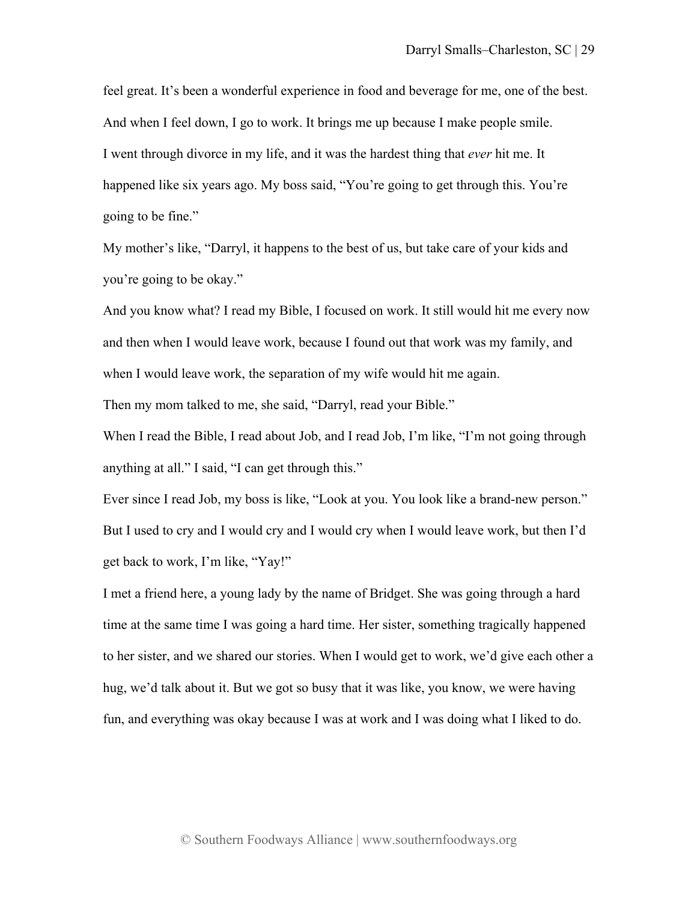feel great. It's been a wonderful experience in food and beverage for me, one of the best. And when I feel down, I go to work. It brings me up because I make people smile. I went through divorce in my life, and it was the hardest thing that *ever* hit me. It happened like six years ago. My boss said, "You're going to get through this. You're going to be fine."

My mother's like, "Darryl, it happens to the best of us, but take care of your kids and you're going to be okay."

And you know what? I read my Bible, I focused on work. It still would hit me every now and then when I would leave work, because I found out that work was my family, and when I would leave work, the separation of my wife would hit me again.

Then my mom talked to me, she said, "Darryl, read your Bible."

When I read the Bible, I read about Job, and I read Job, I'm like, "I'm not going through anything at all." I said, "I can get through this."

Ever since I read Job, my boss is like, "Look at you. You look like a brand-new person." But I used to cry and I would cry and I would cry when I would leave work, but then I'd get back to work, I'm like, "Yay!"

I met a friend here, a young lady by the name of Bridget. She was going through a hard time at the same time I was going a hard time. Her sister, something tragically happened to her sister, and we shared our stories. When I would get to work, we'd give each other a hug, we'd talk about it. But we got so busy that it was like, you know, we were having fun, and everything was okay because I was at work and I was doing what I liked to do.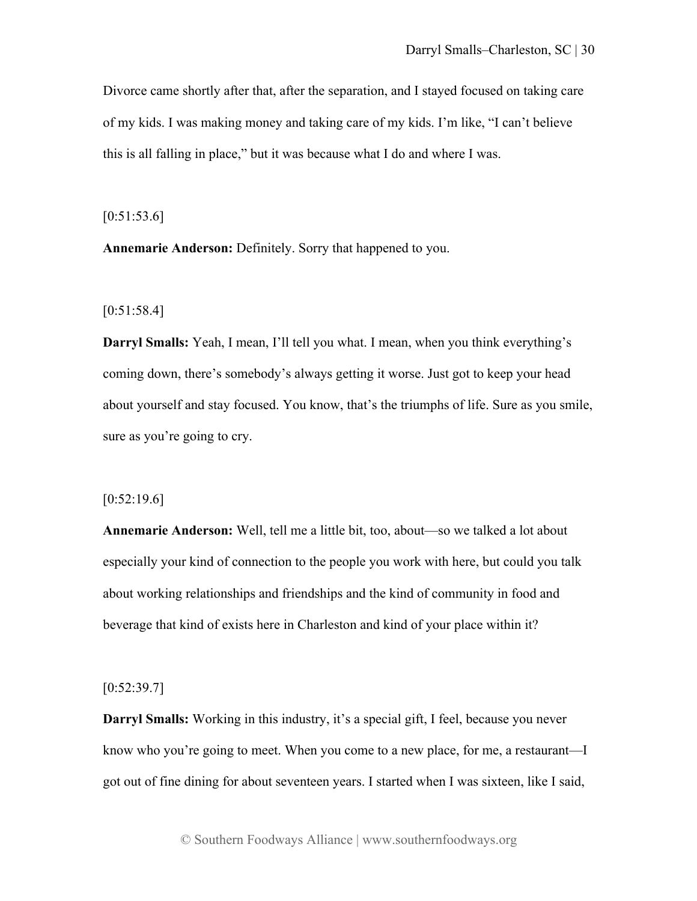Divorce came shortly after that, after the separation, and I stayed focused on taking care of my kids. I was making money and taking care of my kids. I'm like, "I can't believe this is all falling in place," but it was because what I do and where I was.

 $[0:51:53.6]$ 

**Annemarie Anderson:** Definitely. Sorry that happened to you.

[0:51:58.4]

**Darryl Smalls:** Yeah, I mean, I'll tell you what. I mean, when you think everything's coming down, there's somebody's always getting it worse. Just got to keep your head about yourself and stay focused. You know, that's the triumphs of life. Sure as you smile, sure as you're going to cry.

#### $[0:52:19.6]$

**Annemarie Anderson:** Well, tell me a little bit, too, about—so we talked a lot about especially your kind of connection to the people you work with here, but could you talk about working relationships and friendships and the kind of community in food and beverage that kind of exists here in Charleston and kind of your place within it?

 $[0:52:39.7]$ 

**Darryl Smalls:** Working in this industry, it's a special gift, I feel, because you never know who you're going to meet. When you come to a new place, for me, a restaurant—I got out of fine dining for about seventeen years. I started when I was sixteen, like I said,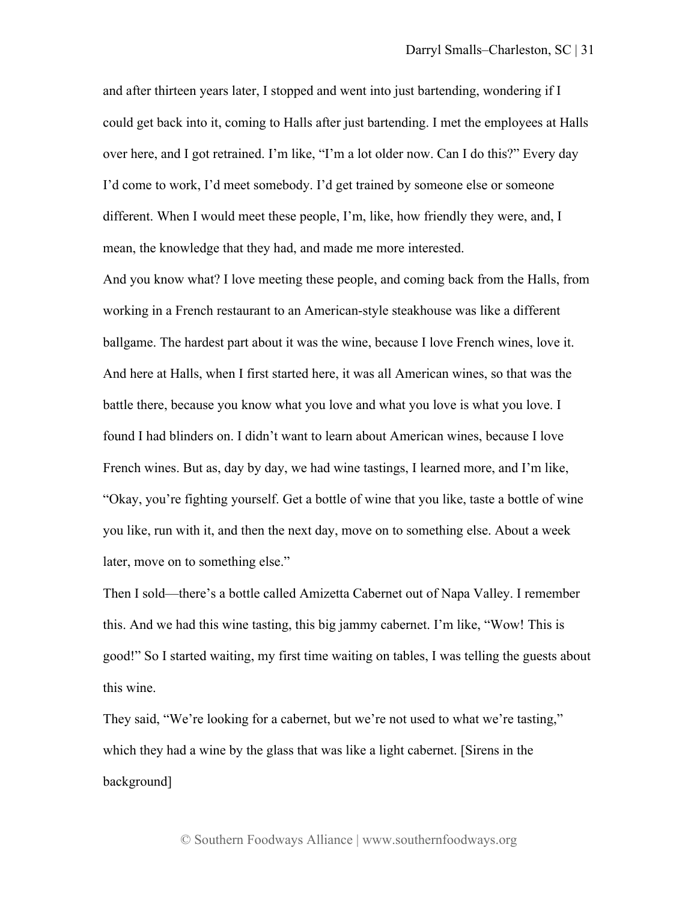and after thirteen years later, I stopped and went into just bartending, wondering if I could get back into it, coming to Halls after just bartending. I met the employees at Halls over here, and I got retrained. I'm like, "I'm a lot older now. Can I do this?" Every day I'd come to work, I'd meet somebody. I'd get trained by someone else or someone different. When I would meet these people, I'm, like, how friendly they were, and, I mean, the knowledge that they had, and made me more interested.

And you know what? I love meeting these people, and coming back from the Halls, from working in a French restaurant to an American-style steakhouse was like a different ballgame. The hardest part about it was the wine, because I love French wines, love it. And here at Halls, when I first started here, it was all American wines, so that was the battle there, because you know what you love and what you love is what you love. I found I had blinders on. I didn't want to learn about American wines, because I love French wines. But as, day by day, we had wine tastings, I learned more, and I'm like, "Okay, you're fighting yourself. Get a bottle of wine that you like, taste a bottle of wine you like, run with it, and then the next day, move on to something else. About a week later, move on to something else."

Then I sold—there's a bottle called Amizetta Cabernet out of Napa Valley. I remember this. And we had this wine tasting, this big jammy cabernet. I'm like, "Wow! This is good!" So I started waiting, my first time waiting on tables, I was telling the guests about this wine.

They said, "We're looking for a cabernet, but we're not used to what we're tasting," which they had a wine by the glass that was like a light cabernet. [Sirens in the background]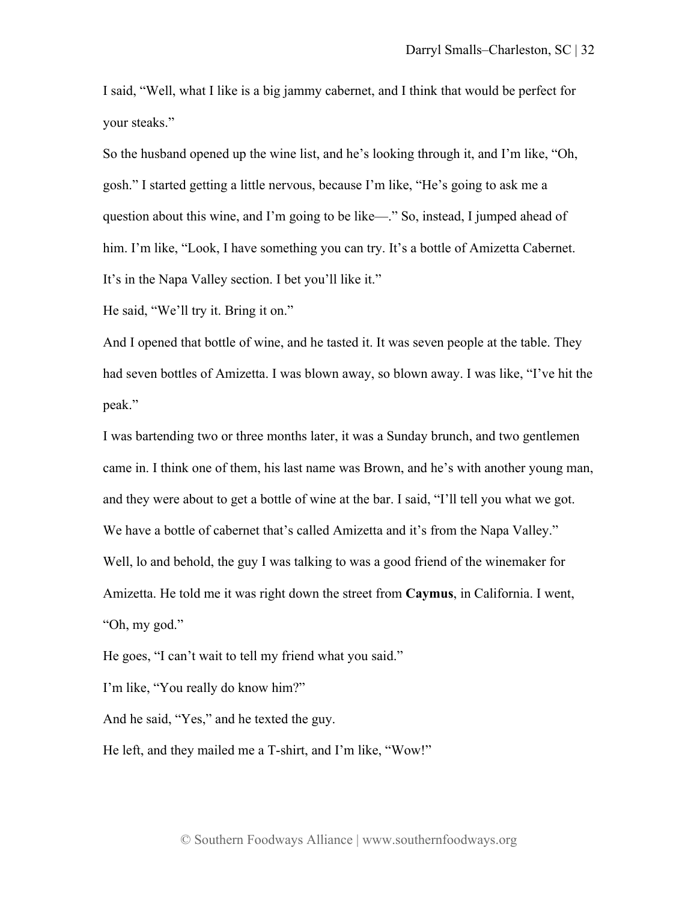I said, "Well, what I like is a big jammy cabernet, and I think that would be perfect for your steaks."

So the husband opened up the wine list, and he's looking through it, and I'm like, "Oh, gosh." I started getting a little nervous, because I'm like, "He's going to ask me a question about this wine, and I'm going to be like—." So, instead, I jumped ahead of him. I'm like, "Look, I have something you can try. It's a bottle of Amizetta Cabernet. It's in the Napa Valley section. I bet you'll like it."

He said, "We'll try it. Bring it on."

And I opened that bottle of wine, and he tasted it. It was seven people at the table. They had seven bottles of Amizetta. I was blown away, so blown away. I was like, "I've hit the peak."

I was bartending two or three months later, it was a Sunday brunch, and two gentlemen came in. I think one of them, his last name was Brown, and he's with another young man, and they were about to get a bottle of wine at the bar. I said, "I'll tell you what we got. We have a bottle of cabernet that's called Amizetta and it's from the Napa Valley." Well, lo and behold, the guy I was talking to was a good friend of the winemaker for Amizetta. He told me it was right down the street from **Caymus**, in California. I went, "Oh, my god."

He goes, "I can't wait to tell my friend what you said."

I'm like, "You really do know him?"

And he said, "Yes," and he texted the guy.

He left, and they mailed me a T-shirt, and I'm like, "Wow!"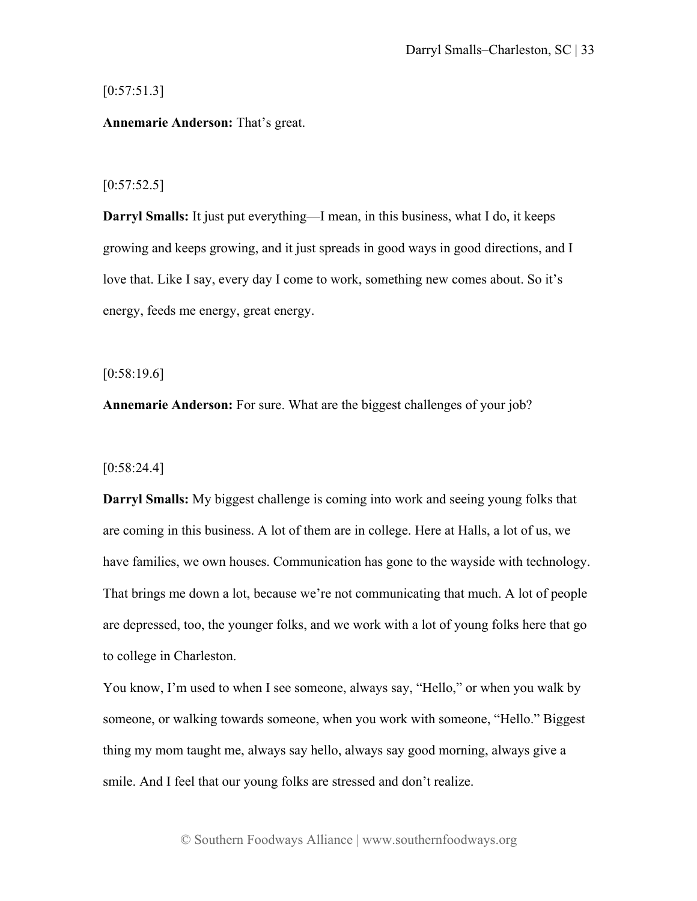# $[0:57:51.3]$

# **Annemarie Anderson:** That's great.

## $[0:57:52.5]$

**Darryl Smalls:** It just put everything—I mean, in this business, what I do, it keeps growing and keeps growing, and it just spreads in good ways in good directions, and I love that. Like I say, every day I come to work, something new comes about. So it's energy, feeds me energy, great energy.

[0:58:19.6]

**Annemarie Anderson:** For sure. What are the biggest challenges of your job?

[0:58:24.4]

**Darryl Smalls:** My biggest challenge is coming into work and seeing young folks that are coming in this business. A lot of them are in college. Here at Halls, a lot of us, we have families, we own houses. Communication has gone to the wayside with technology. That brings me down a lot, because we're not communicating that much. A lot of people are depressed, too, the younger folks, and we work with a lot of young folks here that go to college in Charleston.

You know, I'm used to when I see someone, always say, "Hello," or when you walk by someone, or walking towards someone, when you work with someone, "Hello." Biggest thing my mom taught me, always say hello, always say good morning, always give a smile. And I feel that our young folks are stressed and don't realize.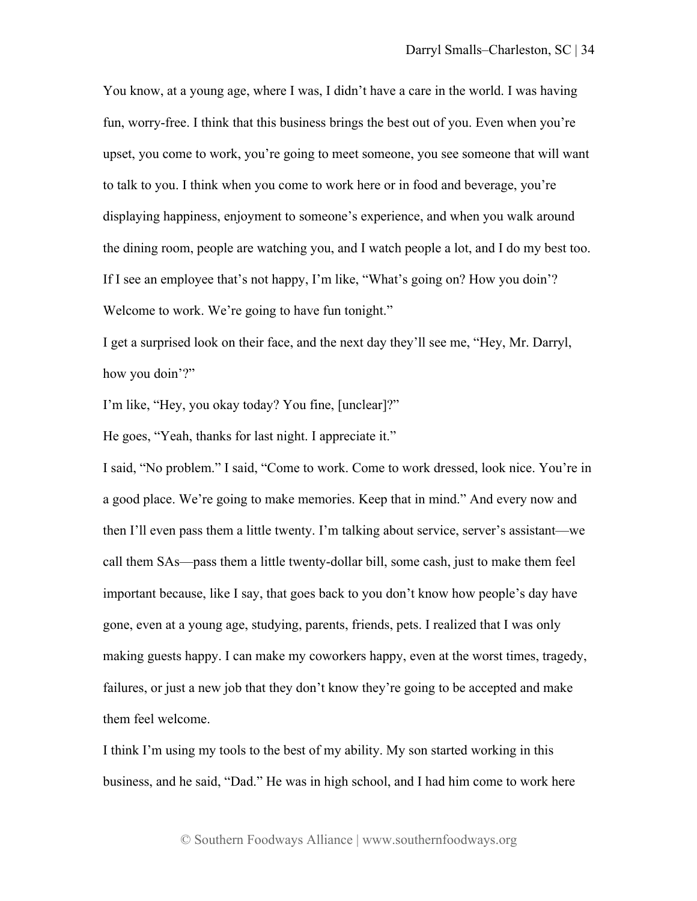You know, at a young age, where I was, I didn't have a care in the world. I was having fun, worry-free. I think that this business brings the best out of you. Even when you're upset, you come to work, you're going to meet someone, you see someone that will want to talk to you. I think when you come to work here or in food and beverage, you're displaying happiness, enjoyment to someone's experience, and when you walk around the dining room, people are watching you, and I watch people a lot, and I do my best too. If I see an employee that's not happy, I'm like, "What's going on? How you doin'? Welcome to work. We're going to have fun tonight."

I get a surprised look on their face, and the next day they'll see me, "Hey, Mr. Darryl, how you doin'?"

I'm like, "Hey, you okay today? You fine, [unclear]?"

He goes, "Yeah, thanks for last night. I appreciate it."

I said, "No problem." I said, "Come to work. Come to work dressed, look nice. You're in a good place. We're going to make memories. Keep that in mind." And every now and then I'll even pass them a little twenty. I'm talking about service, server's assistant—we call them SAs—pass them a little twenty-dollar bill, some cash, just to make them feel important because, like I say, that goes back to you don't know how people's day have gone, even at a young age, studying, parents, friends, pets. I realized that I was only making guests happy. I can make my coworkers happy, even at the worst times, tragedy, failures, or just a new job that they don't know they're going to be accepted and make them feel welcome.

I think I'm using my tools to the best of my ability. My son started working in this business, and he said, "Dad." He was in high school, and I had him come to work here

© Southern Foodways Alliance | www.southernfoodways.org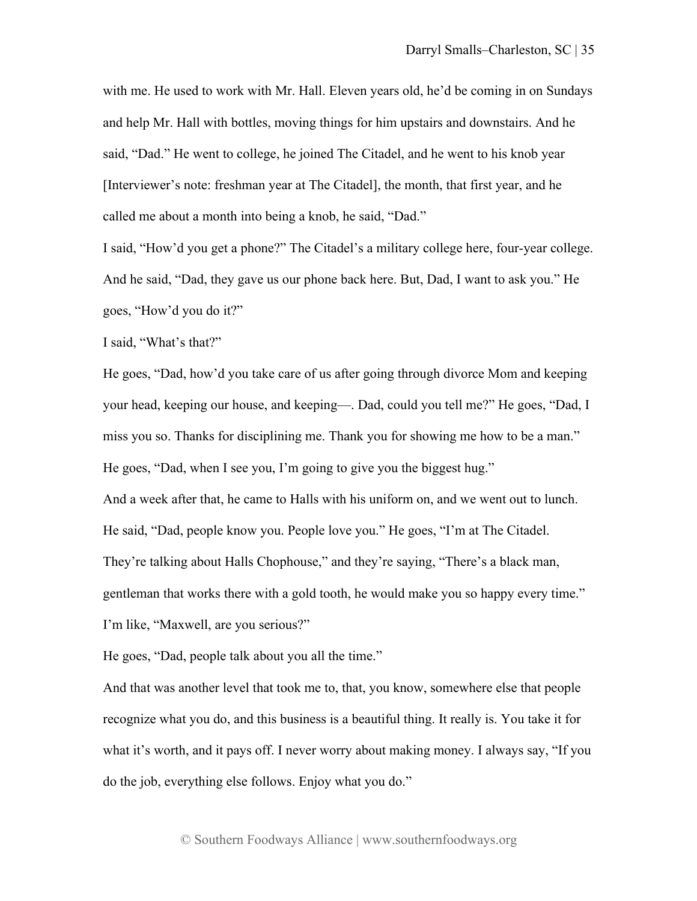with me. He used to work with Mr. Hall. Eleven years old, he'd be coming in on Sundays and help Mr. Hall with bottles, moving things for him upstairs and downstairs. And he said, "Dad." He went to college, he joined The Citadel, and he went to his knob year [Interviewer's note: freshman year at The Citadel], the month, that first year, and he called me about a month into being a knob, he said, "Dad."

I said, "How'd you get a phone?" The Citadel's a military college here, four-year college. And he said, "Dad, they gave us our phone back here. But, Dad, I want to ask you." He goes, "How'd you do it?"

I said, "What's that?"

He goes, "Dad, how'd you take care of us after going through divorce Mom and keeping your head, keeping our house, and keeping—. Dad, could you tell me?" He goes, "Dad, I miss you so. Thanks for disciplining me. Thank you for showing me how to be a man." He goes, "Dad, when I see you, I'm going to give you the biggest hug." And a week after that, he came to Halls with his uniform on, and we went out to lunch. He said, "Dad, people know you. People love you." He goes, "I'm at The Citadel. They're talking about Halls Chophouse," and they're saying, "There's a black man, gentleman that works there with a gold tooth, he would make you so happy every time." I'm like, "Maxwell, are you serious?"

He goes, "Dad, people talk about you all the time."

And that was another level that took me to, that, you know, somewhere else that people recognize what you do, and this business is a beautiful thing. It really is. You take it for what it's worth, and it pays off. I never worry about making money. I always say, "If you do the job, everything else follows. Enjoy what you do."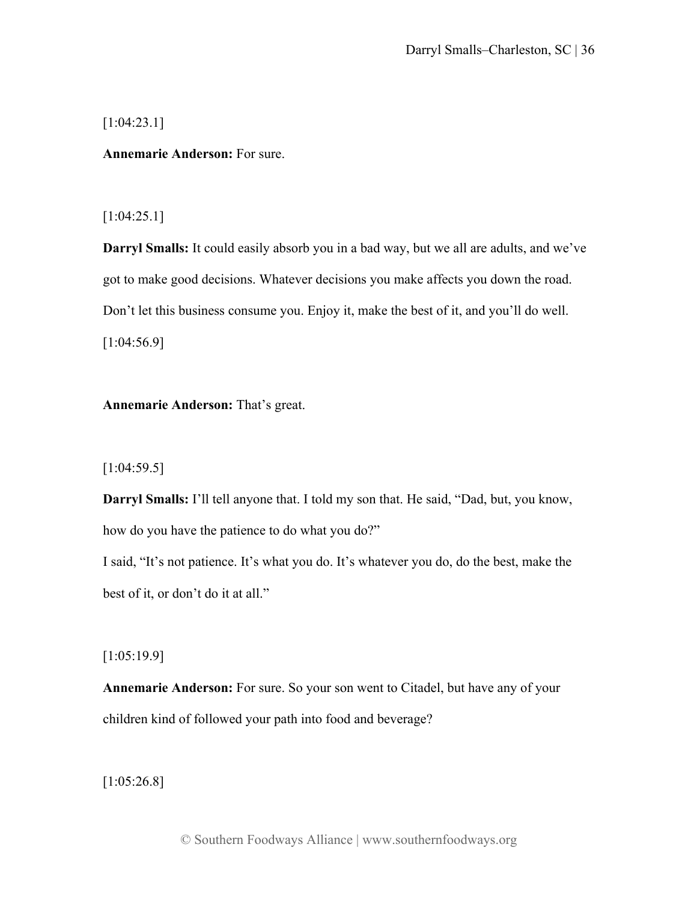[1:04:23.1]

**Annemarie Anderson:** For sure.

# [1:04:25.1]

**Darryl Smalls:** It could easily absorb you in a bad way, but we all are adults, and we've got to make good decisions. Whatever decisions you make affects you down the road. Don't let this business consume you. Enjoy it, make the best of it, and you'll do well. [1:04:56.9]

# **Annemarie Anderson:** That's great.

[1:04:59.5]

**Darryl Smalls:** I'll tell anyone that. I told my son that. He said, "Dad, but, you know, how do you have the patience to do what you do?"

I said, "It's not patience. It's what you do. It's whatever you do, do the best, make the best of it, or don't do it at all."

[1:05:19.9]

**Annemarie Anderson:** For sure. So your son went to Citadel, but have any of your children kind of followed your path into food and beverage?

[1:05:26.8]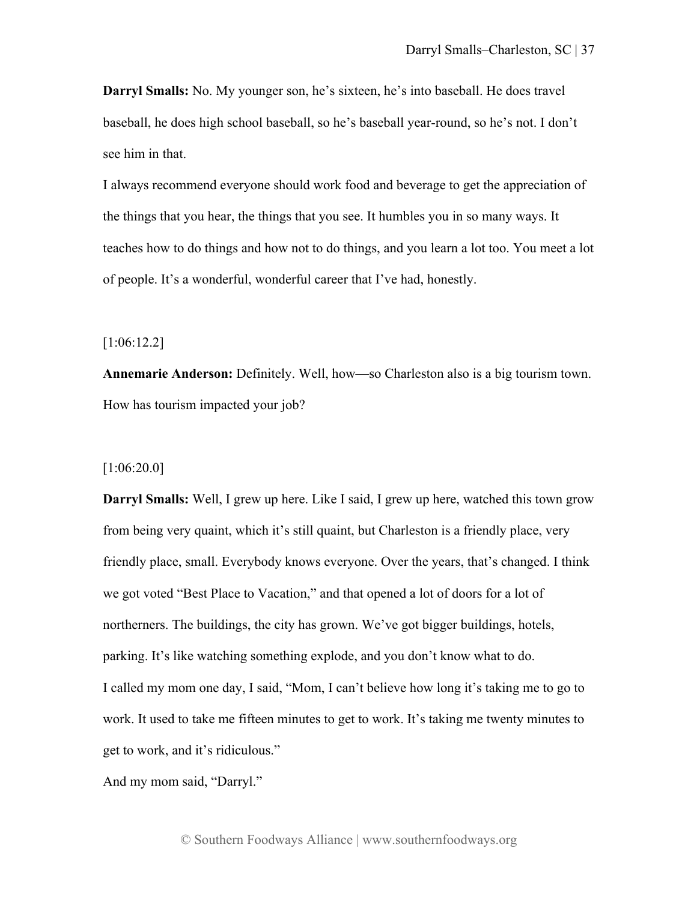**Darryl Smalls:** No. My younger son, he's sixteen, he's into baseball. He does travel baseball, he does high school baseball, so he's baseball year-round, so he's not. I don't see him in that.

I always recommend everyone should work food and beverage to get the appreciation of the things that you hear, the things that you see. It humbles you in so many ways. It teaches how to do things and how not to do things, and you learn a lot too. You meet a lot of people. It's a wonderful, wonderful career that I've had, honestly.

[1:06:12.2]

**Annemarie Anderson:** Definitely. Well, how—so Charleston also is a big tourism town. How has tourism impacted your job?

[1:06:20.0]

**Darryl Smalls:** Well, I grew up here. Like I said, I grew up here, watched this town grow from being very quaint, which it's still quaint, but Charleston is a friendly place, very friendly place, small. Everybody knows everyone. Over the years, that's changed. I think we got voted "Best Place to Vacation," and that opened a lot of doors for a lot of northerners. The buildings, the city has grown. We've got bigger buildings, hotels, parking. It's like watching something explode, and you don't know what to do. I called my mom one day, I said, "Mom, I can't believe how long it's taking me to go to work. It used to take me fifteen minutes to get to work. It's taking me twenty minutes to get to work, and it's ridiculous."

And my mom said, "Darryl."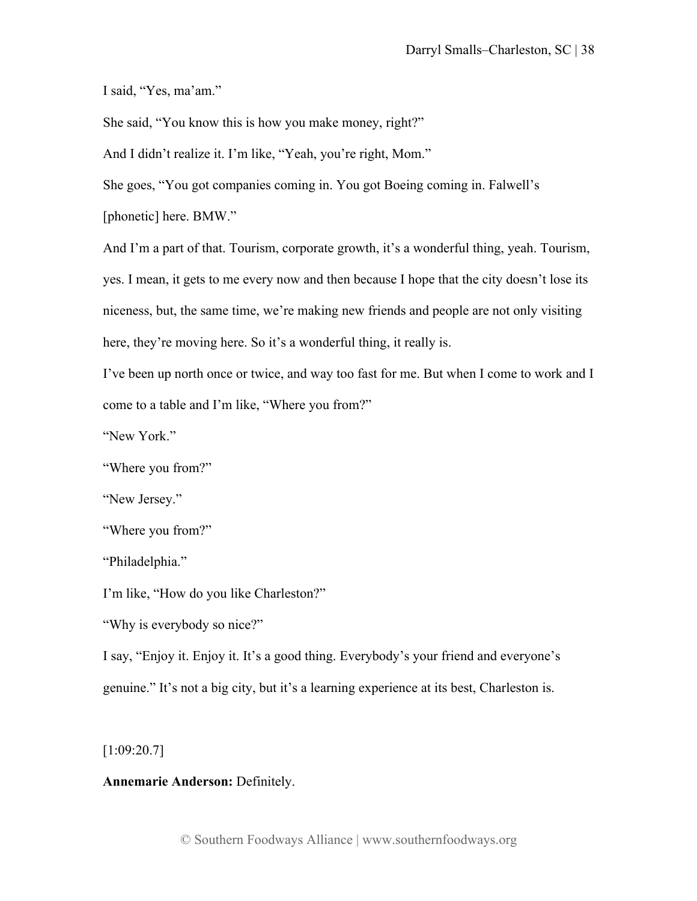I said, "Yes, ma'am."

She said, "You know this is how you make money, right?"

And I didn't realize it. I'm like, "Yeah, you're right, Mom."

She goes, "You got companies coming in. You got Boeing coming in. Falwell's

[phonetic] here. BMW."

And I'm a part of that. Tourism, corporate growth, it's a wonderful thing, yeah. Tourism, yes. I mean, it gets to me every now and then because I hope that the city doesn't lose its niceness, but, the same time, we're making new friends and people are not only visiting here, they're moving here. So it's a wonderful thing, it really is.

I've been up north once or twice, and way too fast for me. But when I come to work and I come to a table and I'm like, "Where you from?"

"New York."

"Where you from?"

"New Jersey."

"Where you from?"

"Philadelphia."

I'm like, "How do you like Charleston?"

"Why is everybody so nice?"

I say, "Enjoy it. Enjoy it. It's a good thing. Everybody's your friend and everyone's genuine." It's not a big city, but it's a learning experience at its best, Charleston is.

[1:09:20.7]

## **Annemarie Anderson:** Definitely.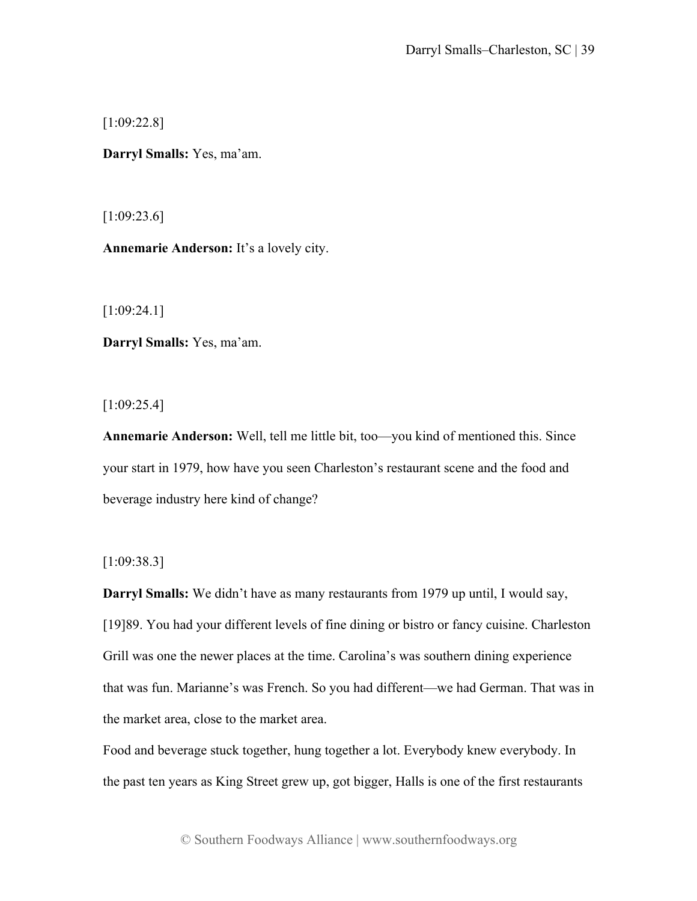[1:09:22.8]

**Darryl Smalls:** Yes, ma'am.

[1:09:23.6]

**Annemarie Anderson:** It's a lovely city.

[1:09:24.1]

**Darryl Smalls:** Yes, ma'am.

 $[1:09:25.4]$ 

**Annemarie Anderson:** Well, tell me little bit, too—you kind of mentioned this. Since your start in 1979, how have you seen Charleston's restaurant scene and the food and beverage industry here kind of change?

[1:09:38.3]

**Darryl Smalls:** We didn't have as many restaurants from 1979 up until, I would say, [19]89. You had your different levels of fine dining or bistro or fancy cuisine. Charleston Grill was one the newer places at the time. Carolina's was southern dining experience that was fun. Marianne's was French. So you had different—we had German. That was in the market area, close to the market area.

Food and beverage stuck together, hung together a lot. Everybody knew everybody. In the past ten years as King Street grew up, got bigger, Halls is one of the first restaurants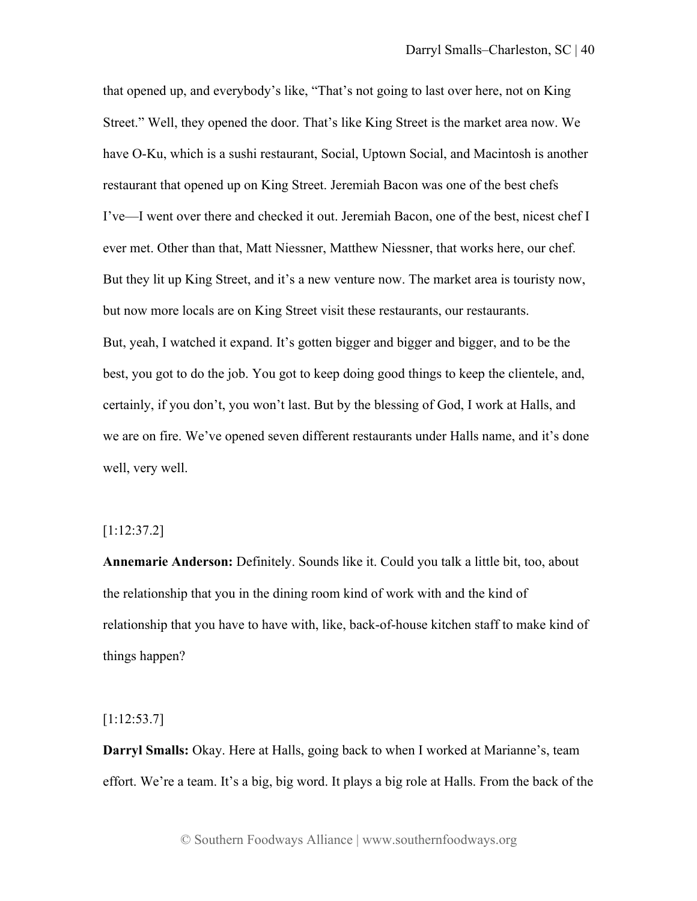that opened up, and everybody's like, "That's not going to last over here, not on King Street." Well, they opened the door. That's like King Street is the market area now. We have O-Ku, which is a sushi restaurant, Social, Uptown Social, and Macintosh is another restaurant that opened up on King Street. Jeremiah Bacon was one of the best chefs I've—I went over there and checked it out. Jeremiah Bacon, one of the best, nicest chef I ever met. Other than that, Matt Niessner, Matthew Niessner, that works here, our chef. But they lit up King Street, and it's a new venture now. The market area is touristy now, but now more locals are on King Street visit these restaurants, our restaurants. But, yeah, I watched it expand. It's gotten bigger and bigger and bigger, and to be the best, you got to do the job. You got to keep doing good things to keep the clientele, and, certainly, if you don't, you won't last. But by the blessing of God, I work at Halls, and we are on fire. We've opened seven different restaurants under Halls name, and it's done well, very well.

#### [1:12:37.2]

**Annemarie Anderson:** Definitely. Sounds like it. Could you talk a little bit, too, about the relationship that you in the dining room kind of work with and the kind of relationship that you have to have with, like, back-of-house kitchen staff to make kind of things happen?

# [1:12:53.7]

**Darryl Smalls:** Okay. Here at Halls, going back to when I worked at Marianne's, team effort. We're a team. It's a big, big word. It plays a big role at Halls. From the back of the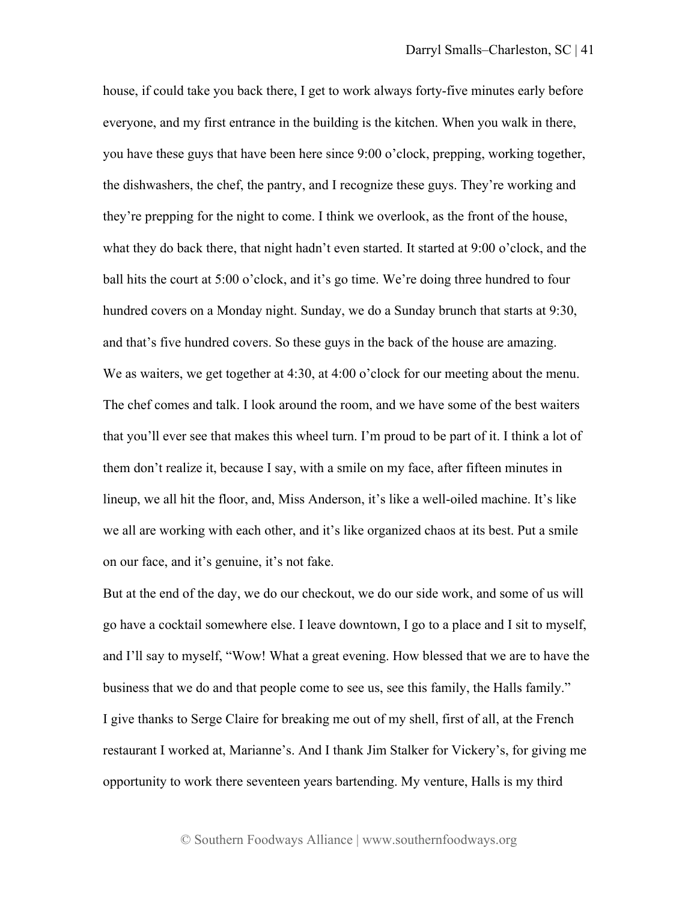house, if could take you back there, I get to work always forty-five minutes early before everyone, and my first entrance in the building is the kitchen. When you walk in there, you have these guys that have been here since 9:00 o'clock, prepping, working together, the dishwashers, the chef, the pantry, and I recognize these guys. They're working and they're prepping for the night to come. I think we overlook, as the front of the house, what they do back there, that night hadn't even started. It started at 9:00 o'clock, and the ball hits the court at 5:00 o'clock, and it's go time. We're doing three hundred to four hundred covers on a Monday night. Sunday, we do a Sunday brunch that starts at 9:30, and that's five hundred covers. So these guys in the back of the house are amazing. We as waiters, we get together at 4:30, at 4:00 o'clock for our meeting about the menu. The chef comes and talk. I look around the room, and we have some of the best waiters that you'll ever see that makes this wheel turn. I'm proud to be part of it. I think a lot of them don't realize it, because I say, with a smile on my face, after fifteen minutes in lineup, we all hit the floor, and, Miss Anderson, it's like a well-oiled machine. It's like we all are working with each other, and it's like organized chaos at its best. Put a smile on our face, and it's genuine, it's not fake.

But at the end of the day, we do our checkout, we do our side work, and some of us will go have a cocktail somewhere else. I leave downtown, I go to a place and I sit to myself, and I'll say to myself, "Wow! What a great evening. How blessed that we are to have the business that we do and that people come to see us, see this family, the Halls family." I give thanks to Serge Claire for breaking me out of my shell, first of all, at the French restaurant I worked at, Marianne's. And I thank Jim Stalker for Vickery's, for giving me opportunity to work there seventeen years bartending. My venture, Halls is my third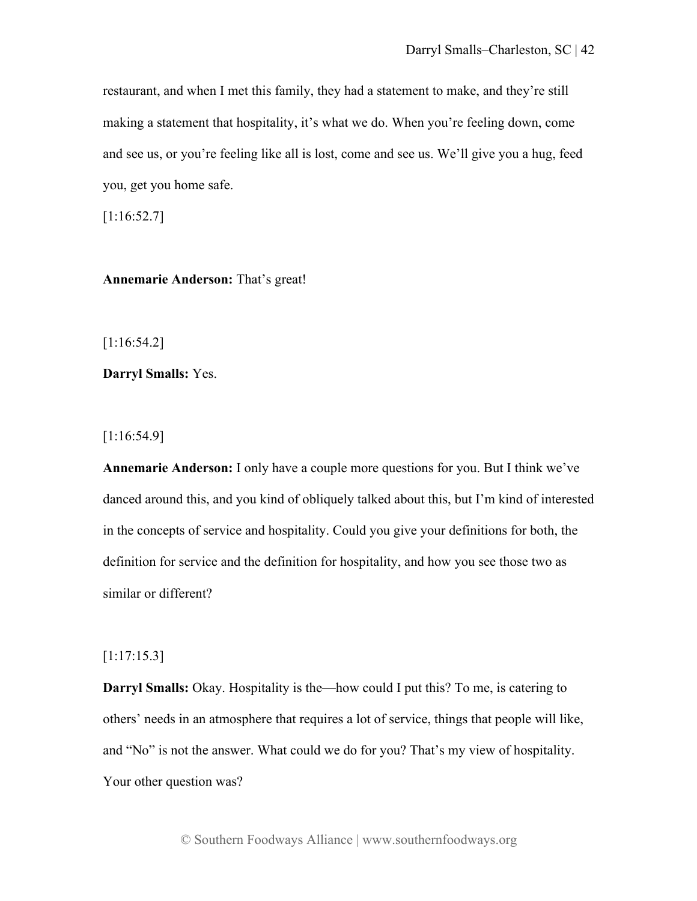restaurant, and when I met this family, they had a statement to make, and they're still making a statement that hospitality, it's what we do. When you're feeling down, come and see us, or you're feeling like all is lost, come and see us. We'll give you a hug, feed you, get you home safe.

[1:16:52.7]

**Annemarie Anderson:** That's great!

[1:16:54.2]

**Darryl Smalls:** Yes.

[1:16:54.9]

**Annemarie Anderson:** I only have a couple more questions for you. But I think we've danced around this, and you kind of obliquely talked about this, but I'm kind of interested in the concepts of service and hospitality. Could you give your definitions for both, the definition for service and the definition for hospitality, and how you see those two as similar or different?

[1:17:15.3]

**Darryl Smalls:** Okay. Hospitality is the—how could I put this? To me, is catering to others' needs in an atmosphere that requires a lot of service, things that people will like, and "No" is not the answer. What could we do for you? That's my view of hospitality. Your other question was?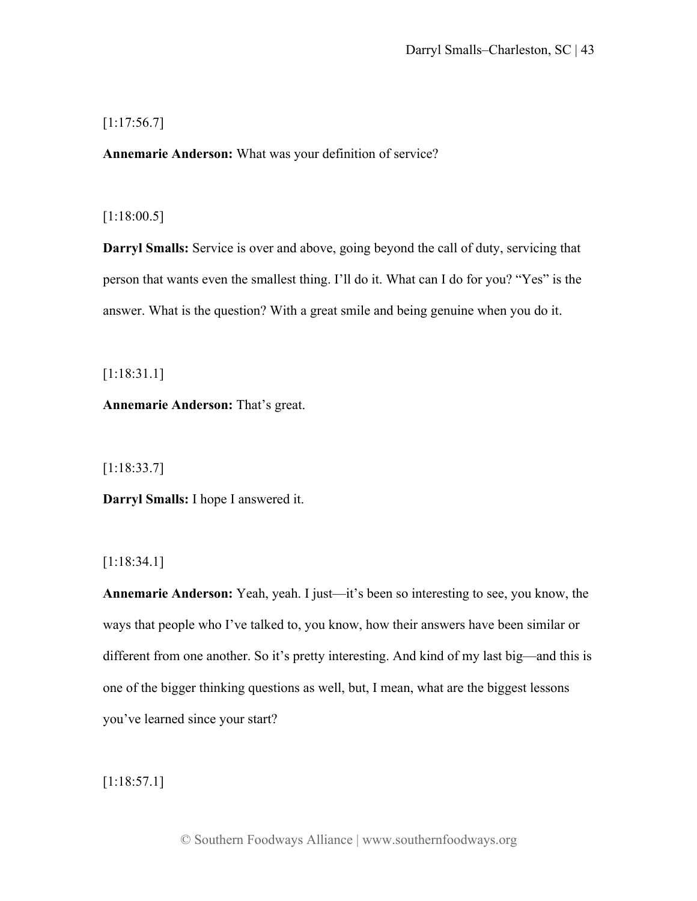# $[1:17:56.7]$

**Annemarie Anderson:** What was your definition of service?

# [1:18:00.5]

**Darryl Smalls:** Service is over and above, going beyond the call of duty, servicing that person that wants even the smallest thing. I'll do it. What can I do for you? "Yes" is the answer. What is the question? With a great smile and being genuine when you do it.

[1:18:31.1]

**Annemarie Anderson:** That's great.

[1:18:33.7]

**Darryl Smalls:** I hope I answered it.

[1:18:34.1]

**Annemarie Anderson:** Yeah, yeah. I just—it's been so interesting to see, you know, the ways that people who I've talked to, you know, how their answers have been similar or different from one another. So it's pretty interesting. And kind of my last big—and this is one of the bigger thinking questions as well, but, I mean, what are the biggest lessons you've learned since your start?

[1:18:57.1]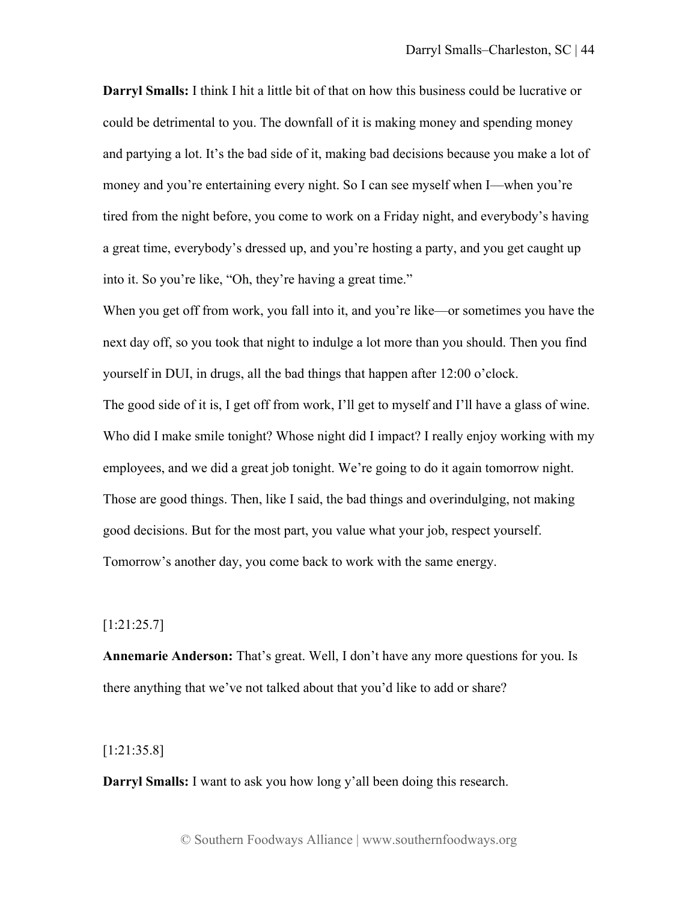**Darryl Smalls:** I think I hit a little bit of that on how this business could be lucrative or could be detrimental to you. The downfall of it is making money and spending money and partying a lot. It's the bad side of it, making bad decisions because you make a lot of money and you're entertaining every night. So I can see myself when I—when you're tired from the night before, you come to work on a Friday night, and everybody's having a great time, everybody's dressed up, and you're hosting a party, and you get caught up into it. So you're like, "Oh, they're having a great time."

When you get off from work, you fall into it, and you're like—or sometimes you have the next day off, so you took that night to indulge a lot more than you should. Then you find yourself in DUI, in drugs, all the bad things that happen after 12:00 o'clock.

The good side of it is, I get off from work, I'll get to myself and I'll have a glass of wine. Who did I make smile tonight? Whose night did I impact? I really enjoy working with my employees, and we did a great job tonight. We're going to do it again tomorrow night. Those are good things. Then, like I said, the bad things and overindulging, not making good decisions. But for the most part, you value what your job, respect yourself. Tomorrow's another day, you come back to work with the same energy.

# [1:21:25.7]

**Annemarie Anderson:** That's great. Well, I don't have any more questions for you. Is there anything that we've not talked about that you'd like to add or share?

# [1:21:35.8]

**Darryl Smalls:** I want to ask you how long y'all been doing this research.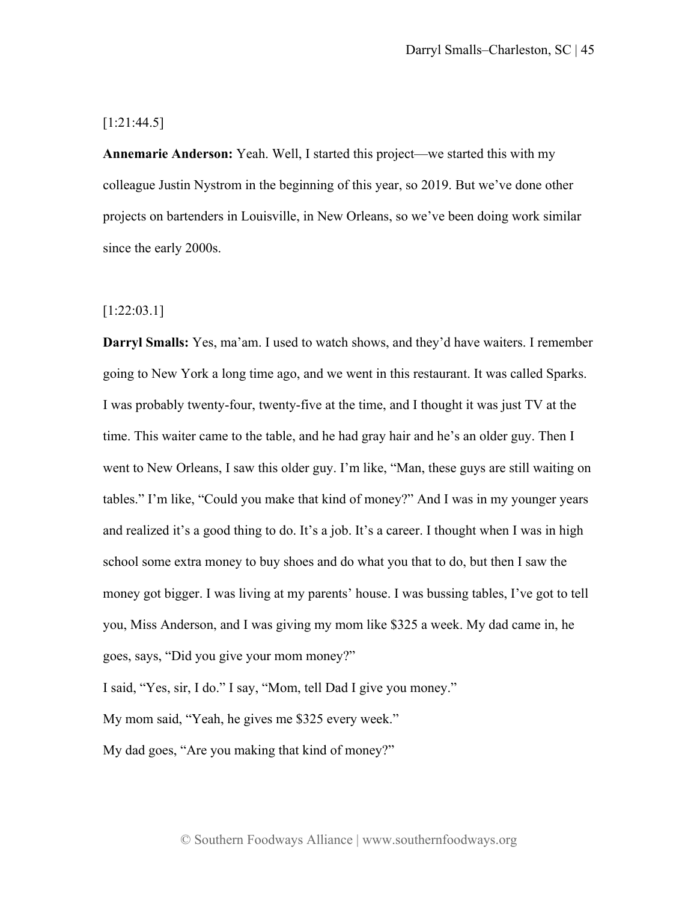## [1:21:44.5]

**Annemarie Anderson:** Yeah. Well, I started this project—we started this with my colleague Justin Nystrom in the beginning of this year, so 2019. But we've done other projects on bartenders in Louisville, in New Orleans, so we've been doing work similar since the early 2000s.

# [1:22:03.1]

**Darryl Smalls:** Yes, ma'am. I used to watch shows, and they'd have waiters. I remember going to New York a long time ago, and we went in this restaurant. It was called Sparks. I was probably twenty-four, twenty-five at the time, and I thought it was just TV at the time. This waiter came to the table, and he had gray hair and he's an older guy. Then I went to New Orleans, I saw this older guy. I'm like, "Man, these guys are still waiting on tables." I'm like, "Could you make that kind of money?" And I was in my younger years and realized it's a good thing to do. It's a job. It's a career. I thought when I was in high school some extra money to buy shoes and do what you that to do, but then I saw the money got bigger. I was living at my parents' house. I was bussing tables, I've got to tell you, Miss Anderson, and I was giving my mom like \$325 a week. My dad came in, he goes, says, "Did you give your mom money?"

I said, "Yes, sir, I do." I say, "Mom, tell Dad I give you money."

My mom said, "Yeah, he gives me \$325 every week."

My dad goes, "Are you making that kind of money?"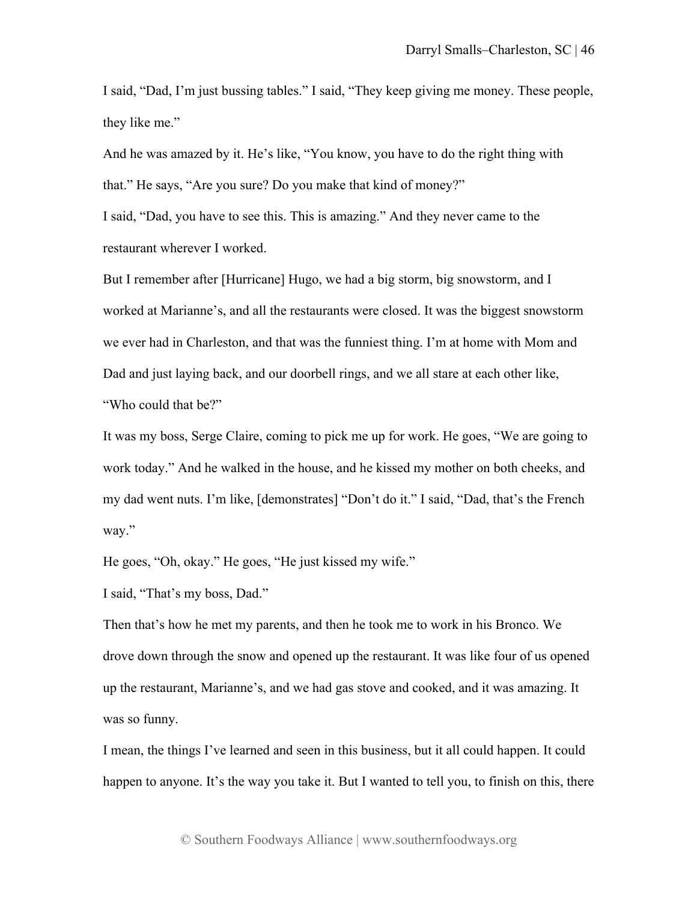I said, "Dad, I'm just bussing tables." I said, "They keep giving me money. These people, they like me."

And he was amazed by it. He's like, "You know, you have to do the right thing with that." He says, "Are you sure? Do you make that kind of money?"

I said, "Dad, you have to see this. This is amazing." And they never came to the restaurant wherever I worked.

But I remember after [Hurricane] Hugo, we had a big storm, big snowstorm, and I worked at Marianne's, and all the restaurants were closed. It was the biggest snowstorm we ever had in Charleston, and that was the funniest thing. I'm at home with Mom and Dad and just laying back, and our doorbell rings, and we all stare at each other like, "Who could that be?"

It was my boss, Serge Claire, coming to pick me up for work. He goes, "We are going to work today." And he walked in the house, and he kissed my mother on both cheeks, and my dad went nuts. I'm like, [demonstrates] "Don't do it." I said, "Dad, that's the French way."

He goes, "Oh, okay." He goes, "He just kissed my wife."

I said, "That's my boss, Dad."

Then that's how he met my parents, and then he took me to work in his Bronco. We drove down through the snow and opened up the restaurant. It was like four of us opened up the restaurant, Marianne's, and we had gas stove and cooked, and it was amazing. It was so funny.

I mean, the things I've learned and seen in this business, but it all could happen. It could happen to anyone. It's the way you take it. But I wanted to tell you, to finish on this, there